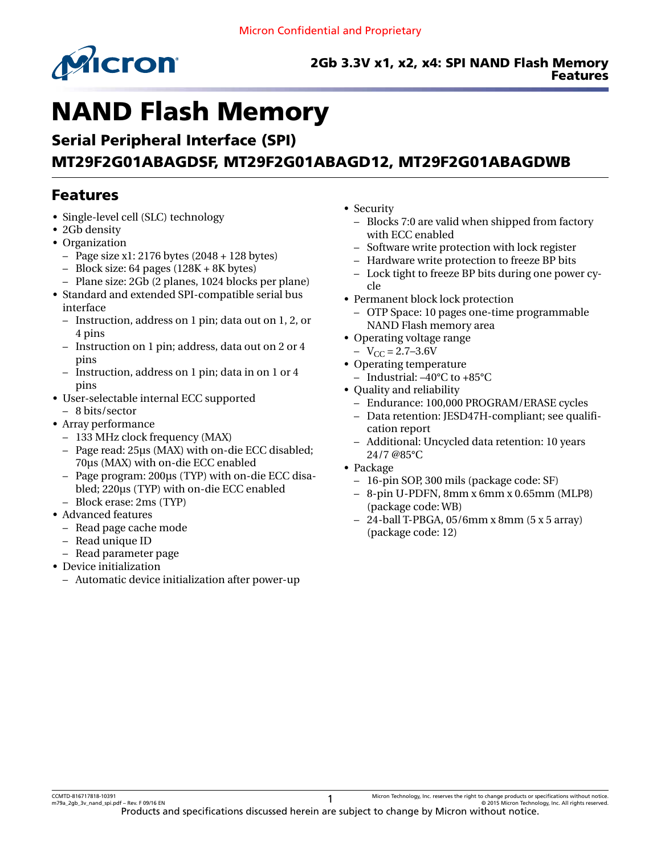

# NAND Flash Memory

# Serial Peripheral Interface (SPI) MT29F2G01ABAGDSF, MT29F2G01ABAGD12, MT29F2G01ABAGDWB

# Features

- Single-level cell (SLC) technology
- 2Gb density
- Organization
	- $-$  Page size x1: 2176 bytes (2048 + 128 bytes)
	- $-$  Block size: 64 pages (128K + 8K bytes)
	- Plane size: 2Gb (2 planes, 1024 blocks per plane)
- Standard and extended SPI-compatible serial bus interface
	- Instruction, address on 1 pin; data out on 1, 2, or 4 pins
	- Instruction on 1 pin; address, data out on 2 or 4 pins
	- Instruction, address on 1 pin; data in on 1 or 4 pins
- User-selectable internal ECC supported – 8 bits/sector
- Array performance
	- 133 MHz clock frequency (MAX)
	- Page read: 25µs (MAX) with on-die ECC disabled; 70µs (MAX) with on-die ECC enabled
	- Page program: 200µs (TYP) with on-die ECC disabled; 220µs (TYP) with on-die ECC enabled – Block erase: 2ms (TYP)
- Advanced features
	- Read page cache mode
	- Read unique ID
- Read parameter page
- Device initialization
	- Automatic device initialization after power-up
- Security
	- Blocks 7:0 are valid when shipped from factory with ECC enabled
	- Software write protection with lock register
	- Hardware write protection to freeze BP bits
	- Lock tight to freeze BP bits during one power cycle
- Permanent block lock protection
	- OTP Space: 10 pages one-time programmable NAND Flash memory area
- Operating voltage range
- $-V_{CC} = 2.7 3.6V$
- Operating temperature
	- Industrial: –40°C to +85°C
- Quality and reliability
	- Endurance: 100,000 PROGRAM/ERASE cycles
	- Data retention: JESD47H-compliant; see qualification report
	- Additional: Uncycled data retention: 10 years 24/7 @85°C
- Package
	- 16-pin SOP, 300 mils (package code: SF)
	- 8-pin U-PDFN, 8mm x 6mm x 0.65mm (MLP8) (package code: WB)
	- $-24$ -ball T-PBGA, 05/6mm x 8mm (5 x 5 array) (package code: 12)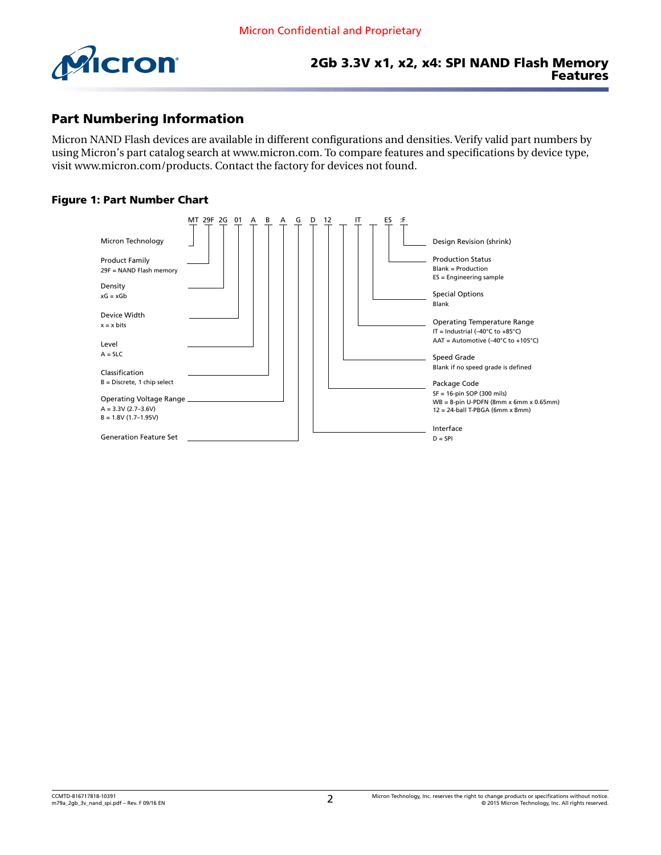<span id="page-1-0"></span>

### Part Numbering Information

Micron NAND Flash devices are available in different configurations and densities. Verify valid part numbers by using Micron's part catalog search at [www.micron.com](http://www.micron.com). To compare features and specifications by device type, visit [www.micron.com/products](http://www.micron.com/products). Contact the factory for devices not found.

#### Figure 1: Part Number Chart

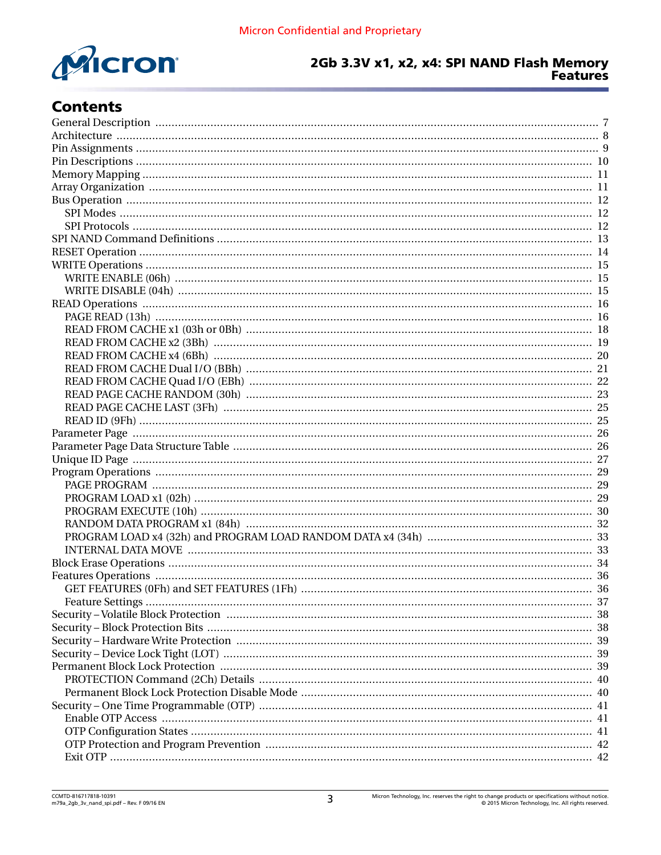

# **Contents**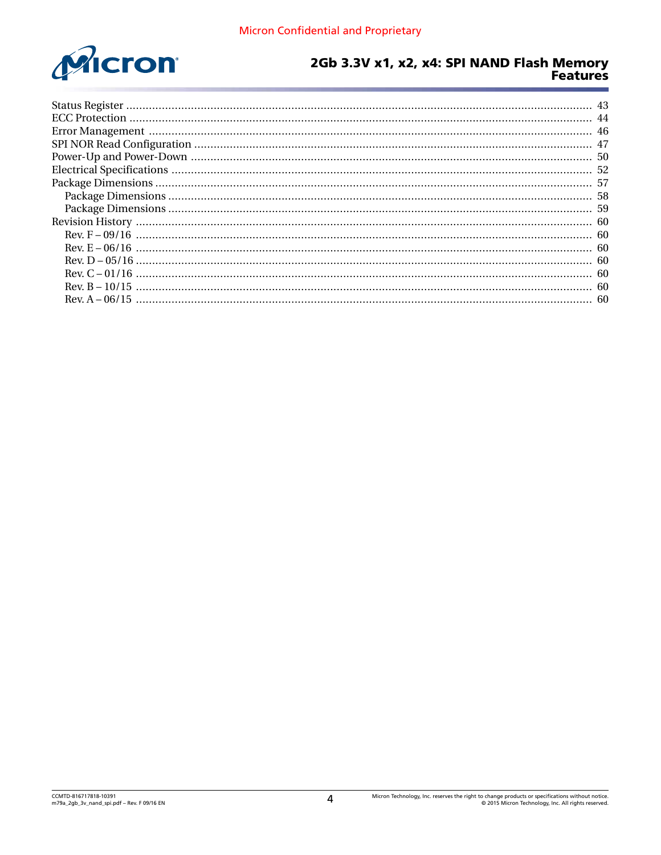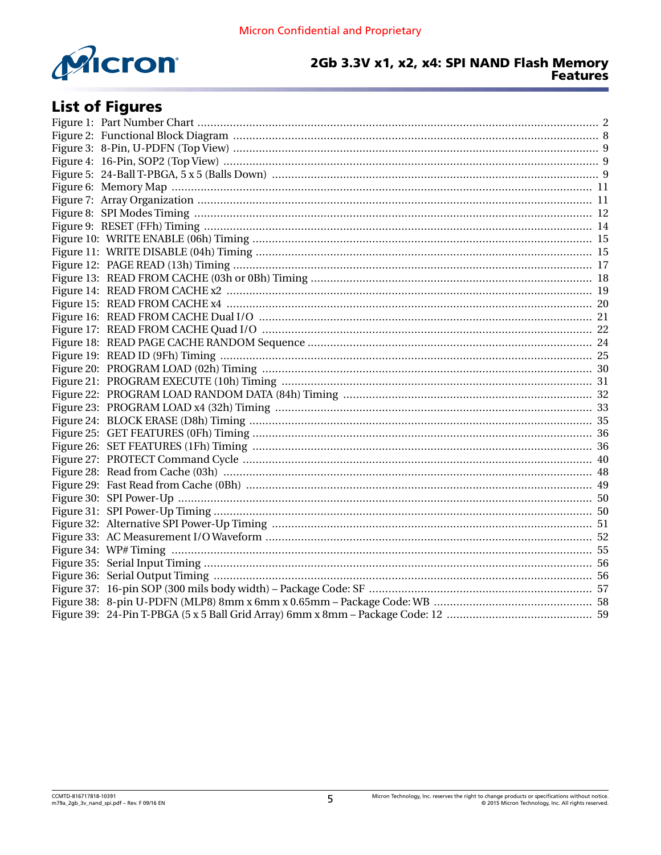

# **List of Figures**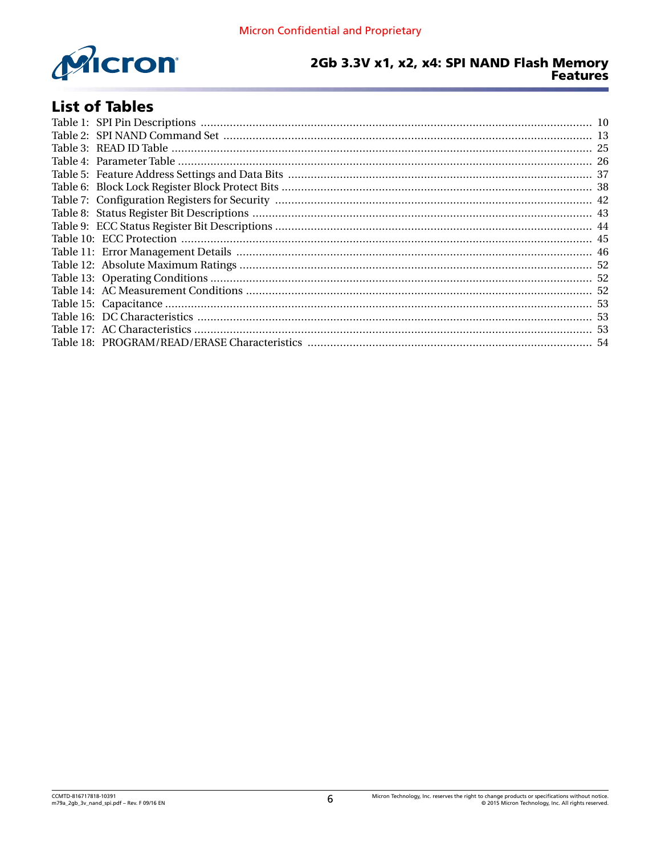

# **List of Tables**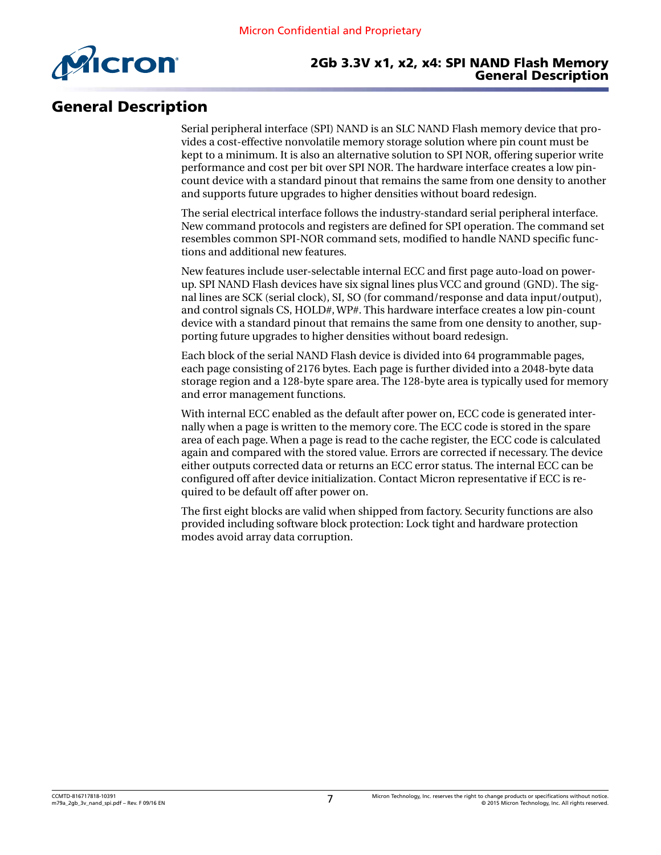<span id="page-6-0"></span>

#### 2Gb 3.3V x1, x2, x4: SPI NAND Flash Memory General Description

# General Description

Serial peripheral interface (SPI) NAND is an SLC NAND Flash memory device that provides a cost-effective nonvolatile memory storage solution where pin count must be kept to a minimum. It is also an alternative solution to SPI NOR, offering superior write performance and cost per bit over SPI NOR. The hardware interface creates a low pincount device with a standard pinout that remains the same from one density to another and supports future upgrades to higher densities without board redesign.

The serial electrical interface follows the industry-standard serial peripheral interface. New command protocols and registers are defined for SPI operation. The command set resembles common SPI-NOR command sets, modified to handle NAND specific functions and additional new features.

New features include user-selectable internal ECC and first page auto-load on powerup. SPI NAND Flash devices have six signal lines plus VCC and ground (GND). The signal lines are SCK (serial clock), SI, SO (for command/response and data input/output), and control signals CS, HOLD#, WP#. This hardware interface creates a low pin-count device with a standard pinout that remains the same from one density to another, supporting future upgrades to higher densities without board redesign.

Each block of the serial NAND Flash device is divided into 64 programmable pages, each page consisting of 2176 bytes. Each page is further divided into a 2048-byte data storage region and a 128-byte spare area. The 128-byte area is typically used for memory and error management functions.

With internal ECC enabled as the default after power on, ECC code is generated internally when a page is written to the memory core. The ECC code is stored in the spare area of each page. When a page is read to the cache register, the ECC code is calculated again and compared with the stored value. Errors are corrected if necessary. The device either outputs corrected data or returns an ECC error status. The internal ECC can be configured off after device initialization. Contact Micron representative if ECC is required to be default off after power on.

The first eight blocks are valid when shipped from factory. Security functions are also provided including software block protection: Lock tight and hardware protection modes avoid array data corruption.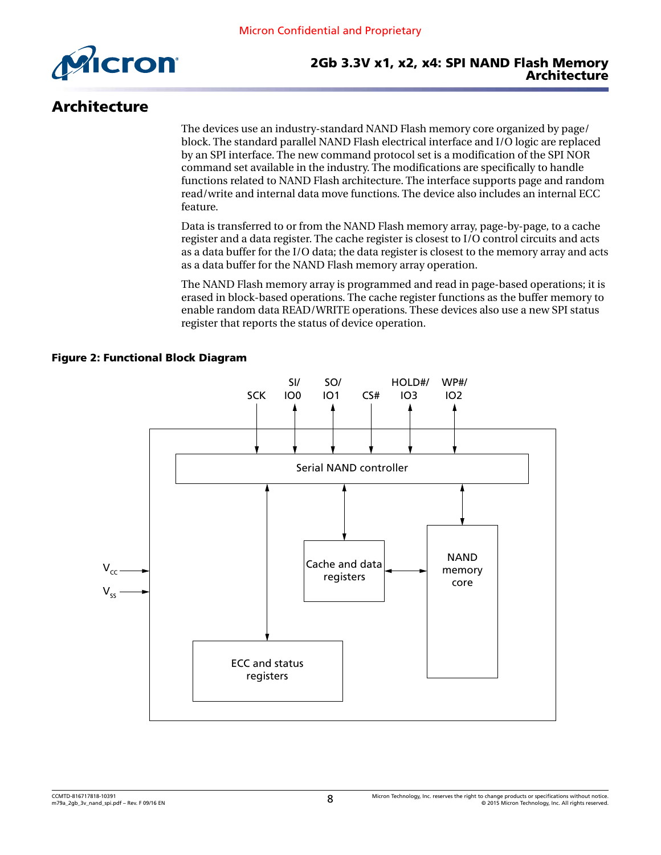

<span id="page-7-0"></span>

# Architecture

The devices use an industry-standard NAND Flash memory core organized by page/ block. The standard parallel NAND Flash electrical interface and I/O logic are replaced by an SPI interface. The new command protocol set is a modification of the SPI NOR command set available in the industry. The modifications are specifically to handle functions related to NAND Flash architecture. The interface supports page and random read/write and internal data move functions. The device also includes an internal ECC feature.

Data is transferred to or from the NAND Flash memory array, page-by-page, to a cache register and a data register. The cache register is closest to I/O control circuits and acts as a data buffer for the I/O data; the data register is closest to the memory array and acts as a data buffer for the NAND Flash memory array operation.

The NAND Flash memory array is programmed and read in page-based operations; it is erased in block-based operations. The cache register functions as the buffer memory to enable random data READ/WRITE operations. These devices also use a new SPI status register that reports the status of device operation.

#### Figure 2: Functional Block Diagram

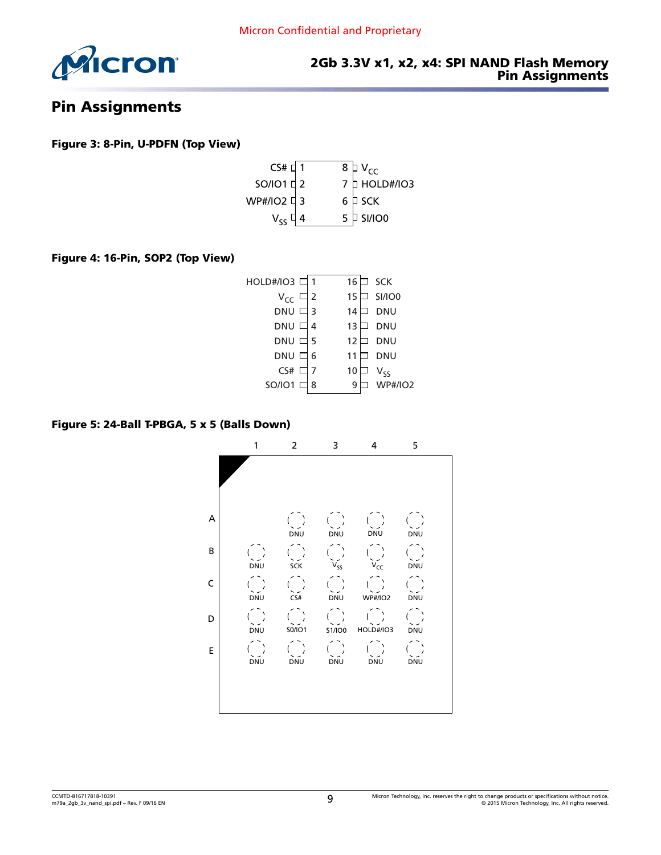<span id="page-8-0"></span>

#### 2Gb 3.3V x1, x2, x4: SPI NAND Flash Memory Pin Assignments

# Pin Assignments

#### Figure 3: 8-Pin, U-PDFN (Top View)



#### Figure 4: 16-Pin, SOP2 (Top View)

| HOLD#/IO3 디        | 1 | 16 | <b>SCK</b>     |
|--------------------|---|----|----------------|
| $V_{CC}$           | 2 | 15 | SI/IO0         |
| $DNU$ $\square$    | 3 | 14 | DNU            |
| <b>DNU</b>         | 4 | 13 | DNU            |
| $DNU$ $\square$    | 5 | 12 | DNU            |
| <b>DNU</b>         | 6 | 11 | DNU            |
| $\mathsf{CS}\#$    |   | 10 | $V_{SS}$       |
| $SO/IO1$ $\square$ | 8 | 9  | <b>WP#/IO2</b> |
|                    |   |    |                |

#### Figure 5: 24-Ball T-PBGA, 5 x 5 (Balls Down)

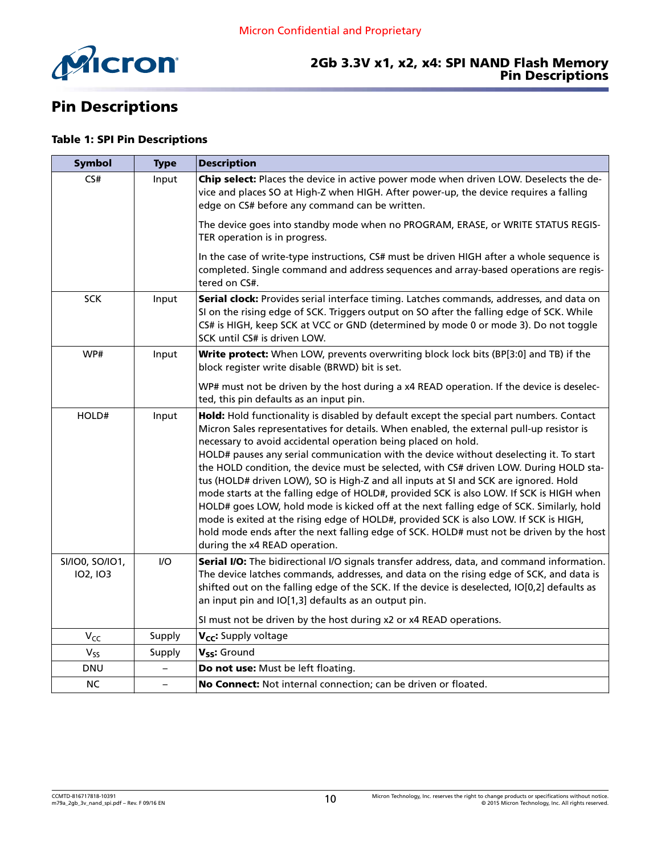<span id="page-9-0"></span>

#### 2Gb 3.3V x1, x2, x4: SPI NAND Flash Memory Pin Descriptions

# Pin Descriptions

#### Table 1: SPI Pin Descriptions

| <b>Symbol</b>               | <b>Type</b>              | <b>Description</b>                                                                                                                                                                                                                                                                                                                                                                                                                                                                                                                                                                                                                                                                                                                                                                                                                                                                                                                           |
|-----------------------------|--------------------------|----------------------------------------------------------------------------------------------------------------------------------------------------------------------------------------------------------------------------------------------------------------------------------------------------------------------------------------------------------------------------------------------------------------------------------------------------------------------------------------------------------------------------------------------------------------------------------------------------------------------------------------------------------------------------------------------------------------------------------------------------------------------------------------------------------------------------------------------------------------------------------------------------------------------------------------------|
| CS#                         | Input                    | Chip select: Places the device in active power mode when driven LOW. Deselects the de-<br>vice and places SO at High-Z when HIGH. After power-up, the device requires a falling<br>edge on CS# before any command can be written.                                                                                                                                                                                                                                                                                                                                                                                                                                                                                                                                                                                                                                                                                                            |
|                             |                          | The device goes into standby mode when no PROGRAM, ERASE, or WRITE STATUS REGIS-<br>TER operation is in progress.                                                                                                                                                                                                                                                                                                                                                                                                                                                                                                                                                                                                                                                                                                                                                                                                                            |
|                             |                          | In the case of write-type instructions, CS# must be driven HIGH after a whole sequence is<br>completed. Single command and address sequences and array-based operations are regis-<br>tered on CS#.                                                                                                                                                                                                                                                                                                                                                                                                                                                                                                                                                                                                                                                                                                                                          |
| <b>SCK</b>                  | Input                    | Serial clock: Provides serial interface timing. Latches commands, addresses, and data on<br>SI on the rising edge of SCK. Triggers output on SO after the falling edge of SCK. While<br>CS# is HIGH, keep SCK at VCC or GND (determined by mode 0 or mode 3). Do not toggle<br>SCK until CS# is driven LOW.                                                                                                                                                                                                                                                                                                                                                                                                                                                                                                                                                                                                                                  |
| WP#                         | Input                    | Write protect: When LOW, prevents overwriting block lock bits (BP[3:0] and TB) if the<br>block register write disable (BRWD) bit is set.                                                                                                                                                                                                                                                                                                                                                                                                                                                                                                                                                                                                                                                                                                                                                                                                     |
|                             |                          | WP# must not be driven by the host during a x4 READ operation. If the device is deselec-<br>ted, this pin defaults as an input pin.                                                                                                                                                                                                                                                                                                                                                                                                                                                                                                                                                                                                                                                                                                                                                                                                          |
| HOLD#                       | Input                    | Hold: Hold functionality is disabled by default except the special part numbers. Contact<br>Micron Sales representatives for details. When enabled, the external pull-up resistor is<br>necessary to avoid accidental operation being placed on hold.<br>HOLD# pauses any serial communication with the device without deselecting it. To start<br>the HOLD condition, the device must be selected, with CS# driven LOW. During HOLD sta-<br>tus (HOLD# driven LOW), SO is High-Z and all inputs at SI and SCK are ignored. Hold<br>mode starts at the falling edge of HOLD#, provided SCK is also LOW. If SCK is HIGH when<br>HOLD# goes LOW, hold mode is kicked off at the next falling edge of SCK. Similarly, hold<br>mode is exited at the rising edge of HOLD#, provided SCK is also LOW. If SCK is HIGH,<br>hold mode ends after the next falling edge of SCK. HOLD# must not be driven by the host<br>during the x4 READ operation. |
| SI/IO0, SO/IO1,<br>102, 103 | 1/O                      | Serial I/O: The bidirectional I/O signals transfer address, data, and command information.<br>The device latches commands, addresses, and data on the rising edge of SCK, and data is<br>shifted out on the falling edge of the SCK. If the device is deselected, IO[0,2] defaults as<br>an input pin and IO[1,3] defaults as an output pin.<br>SI must not be driven by the host during x2 or x4 READ operations.                                                                                                                                                                                                                                                                                                                                                                                                                                                                                                                           |
| $V_{CC}$                    | Supply                   | V <sub>CC</sub> : Supply voltage                                                                                                                                                                                                                                                                                                                                                                                                                                                                                                                                                                                                                                                                                                                                                                                                                                                                                                             |
| $V_{SS}$                    | Supply                   | V <sub>SS</sub> : Ground                                                                                                                                                                                                                                                                                                                                                                                                                                                                                                                                                                                                                                                                                                                                                                                                                                                                                                                     |
| <b>DNU</b>                  | $\overline{\phantom{0}}$ | Do not use: Must be left floating.                                                                                                                                                                                                                                                                                                                                                                                                                                                                                                                                                                                                                                                                                                                                                                                                                                                                                                           |
| <b>NC</b>                   | $\overline{\phantom{0}}$ | No Connect: Not internal connection; can be driven or floated.                                                                                                                                                                                                                                                                                                                                                                                                                                                                                                                                                                                                                                                                                                                                                                                                                                                                               |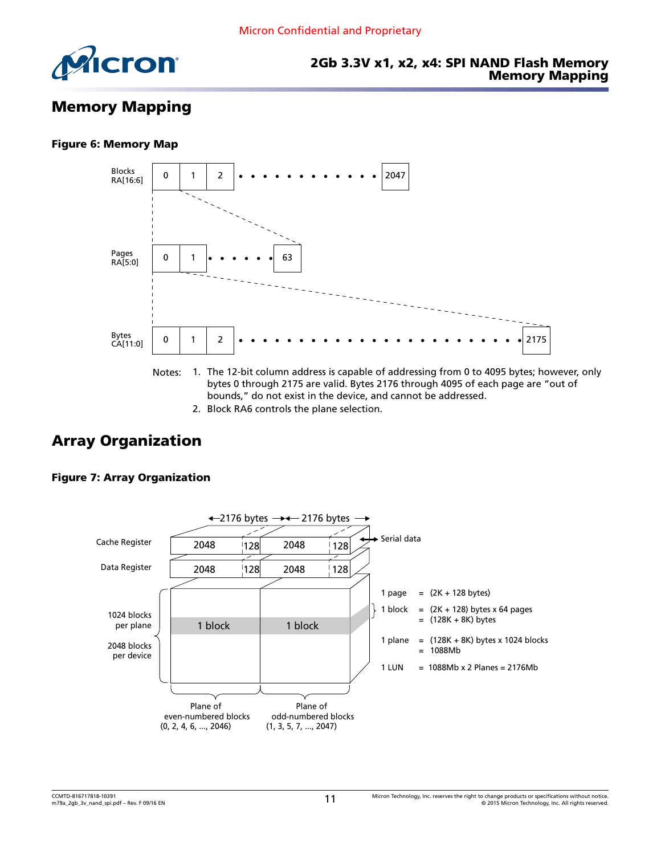<span id="page-10-0"></span>

#### 2Gb 3.3V x1, x2, x4: SPI NAND Flash Memory Memory Mapping

# Memory Mapping

#### Figure 6: Memory Map



- Notes: 1. The 12-bit column address is capable of addressing from 0 to 4095 bytes; however, only bytes 0 through 2175 are valid. Bytes 2176 through 4095 of each page are "out of bounds," do not exist in the device, and cannot be addressed.
	- 2. Block RA6 controls the plane selection.

# Array Organization



#### Figure 7: Array Organization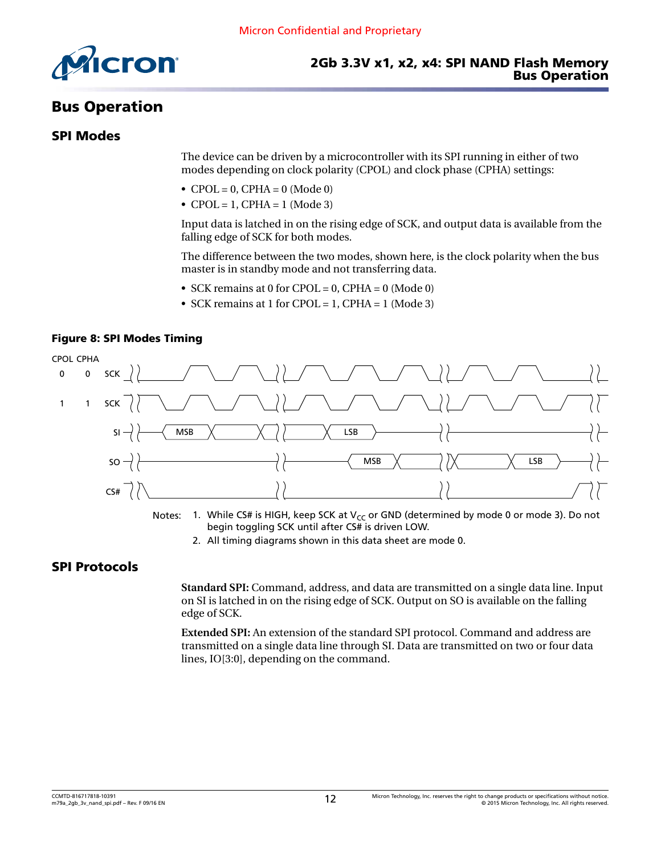<span id="page-11-0"></span>

# Bus Operation

#### SPI Modes

The device can be driven by a microcontroller with its SPI running in either of two modes depending on clock polarity (CPOL) and clock phase (CPHA) settings:

- $CPOL = 0$ ,  $CPHA = 0$  (Mode 0)
- CPOL = 1, CPHA = 1 (Mode 3)

Input data is latched in on the rising edge of SCK, and output data is available from the falling edge of SCK for both modes.

The difference between the two modes, shown here, is the clock polarity when the bus master is in standby mode and not transferring data.

- SCK remains at 0 for CPOL = 0, CPHA = 0 (Mode 0)
- SCK remains at 1 for CPOL = 1, CPHA = 1 (Mode 3)





Notes: 1. While CS# is HIGH, keep SCK at  $V_{CC}$  or GND (determined by mode 0 or mode 3). Do not begin toggling SCK until after CS# is driven LOW.

2. All timing diagrams shown in this data sheet are mode 0.

### SPI Protocols

**Standard SPI:** Command, address, and data are transmitted on a single data line. Input on SI is latched in on the rising edge of SCK. Output on SO is available on the falling edge of SCK.

**Extended SPI:** An extension of the standard SPI protocol. Command and address are transmitted on a single data line through SI. Data are transmitted on two or four data lines, IO[3:0], depending on the command.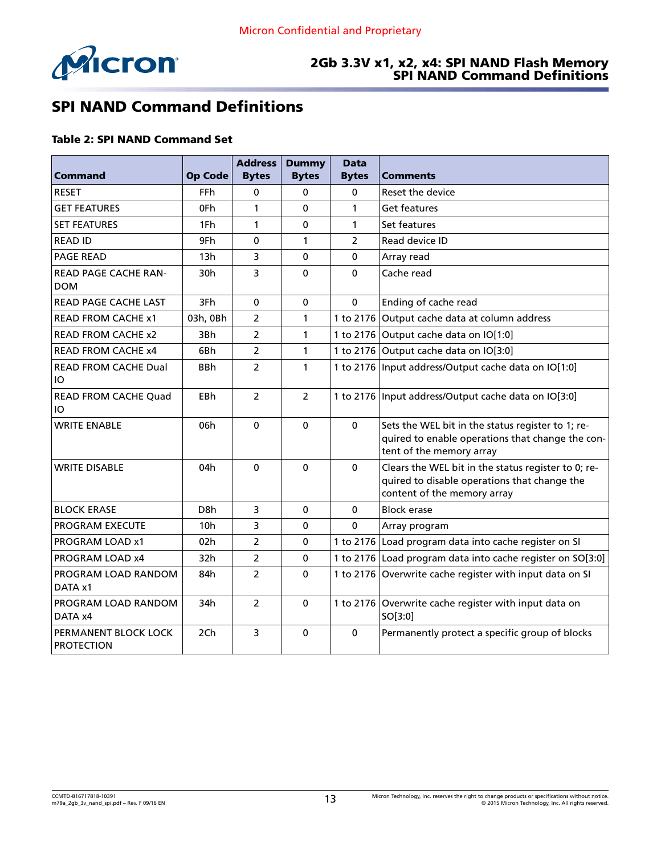<span id="page-12-0"></span>

#### 2Gb 3.3V x1, x2, x4: SPI NAND Flash Memory SPI NAND Command Definitions

# SPI NAND Command Definitions

#### Table 2: SPI NAND Command Set

|                                           |                  | <b>Address</b> | <b>Dummy</b>   | <b>Data</b>    |                                                                                                                                    |
|-------------------------------------------|------------------|----------------|----------------|----------------|------------------------------------------------------------------------------------------------------------------------------------|
| Command                                   | <b>Op Code</b>   | <b>Bytes</b>   | <b>Bytes</b>   | <b>Bytes</b>   | <b>Comments</b>                                                                                                                    |
| <b>RESET</b>                              | <b>FFh</b>       | 0              | 0              | 0              | Reset the device                                                                                                                   |
| <b>GET FEATURES</b>                       | 0Fh              | $\mathbf{1}$   | $\Omega$       | 1              | <b>Get features</b>                                                                                                                |
| <b>SET FEATURES</b>                       | 1Fh              | 1              | 0              | 1              | Set features                                                                                                                       |
| <b>READ ID</b>                            | 9Fh              | $\mathbf 0$    | 1              | $\overline{2}$ | Read device ID                                                                                                                     |
| <b>PAGE READ</b>                          | 13h              | 3              | 0              | 0              | Array read                                                                                                                         |
| READ PAGE CACHE RAN-<br><b>DOM</b>        | 30h              | 3              | $\mathbf 0$    | $\mathbf{0}$   | Cache read                                                                                                                         |
| <b>READ PAGE CACHE LAST</b>               | 3Fh              | $\mathbf 0$    | 0              | $\mathbf 0$    | Ending of cache read                                                                                                               |
| <b>READ FROM CACHE x1</b>                 | 03h, 0Bh         | $\overline{2}$ | $\mathbf{1}$   |                | 1 to 2176 Output cache data at column address                                                                                      |
| <b>READ FROM CACHE x2</b>                 | 3Bh              | $\overline{2}$ | 1              |                | 1 to 2176 Output cache data on IO[1:0]                                                                                             |
| <b>READ FROM CACHE x4</b>                 | 6Bh              | 2              | 1              |                | 1 to 2176 Output cache data on IO[3:0]                                                                                             |
| <b>READ FROM CACHE Dual</b><br>IO         | <b>BBh</b>       | $\overline{2}$ | 1              |                | 1 to 2176 Input address/Output cache data on IO[1:0]                                                                               |
| <b>READ FROM CACHE Quad</b><br>IО         | <b>EBh</b>       | $\overline{2}$ | $\overline{2}$ |                | 1 to 2176   Input address/Output cache data on IO[3:0]                                                                             |
| <b>WRITE ENABLE</b>                       | 06h              | $\mathbf 0$    | $\mathbf 0$    | $\mathbf{0}$   | Sets the WEL bit in the status register to 1; re-<br>quired to enable operations that change the con-<br>tent of the memory array  |
| <b>WRITE DISABLE</b>                      | 04h              | $\Omega$       | $\mathbf 0$    | $\mathbf 0$    | Clears the WEL bit in the status register to 0; re-<br>quired to disable operations that change the<br>content of the memory array |
| <b>BLOCK ERASE</b>                        | D <sub>8</sub> h | 3              | $\mathbf 0$    | $\mathbf 0$    | <b>Block erase</b>                                                                                                                 |
| <b>PROGRAM EXECUTE</b>                    | 10h              | 3              | $\mathbf 0$    | $\mathbf{0}$   | Array program                                                                                                                      |
| PROGRAM LOAD x1                           | 02h              | $\overline{2}$ | 0              |                | 1 to 2176 Load program data into cache register on SI                                                                              |
| PROGRAM LOAD x4                           | 32h              | $\overline{2}$ | 0              |                | 1 to 2176 Load program data into cache register on SO[3:0]                                                                         |
| PROGRAM LOAD RANDOM<br>DATA x1            | 84h              | $\overline{2}$ | $\Omega$       |                | 1 to 2176 Overwrite cache register with input data on SI                                                                           |
| PROGRAM LOAD RANDOM<br>DATA x4            | 34h              | $\overline{2}$ | $\mathbf 0$    |                | 1 to 2176 Overwrite cache register with input data on<br>SO[3:0]                                                                   |
| PERMANENT BLOCK LOCK<br><b>PROTECTION</b> | 2Ch              | 3              | $\mathbf 0$    | $\mathbf{0}$   | Permanently protect a specific group of blocks                                                                                     |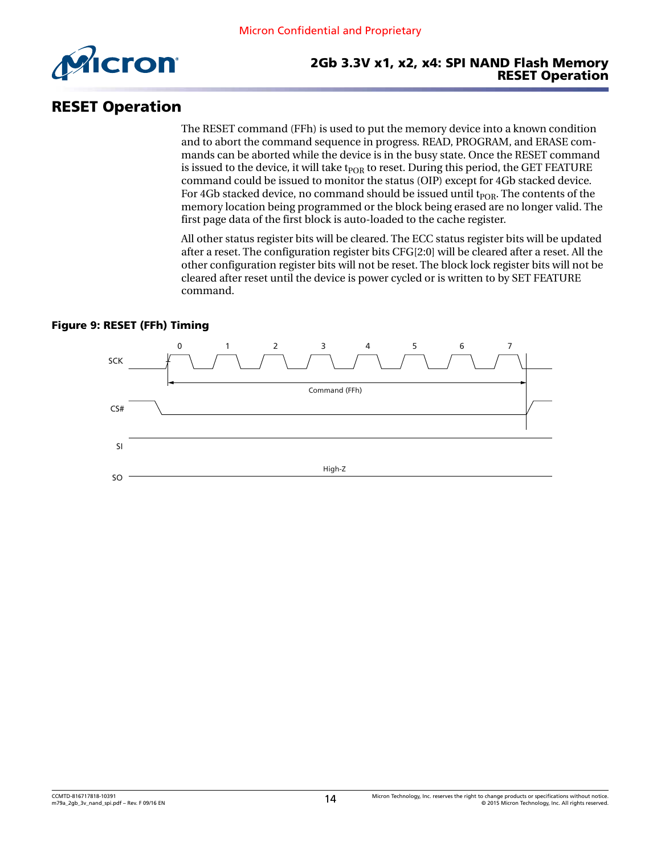<span id="page-13-0"></span>

# RESET Operation

The RESET command (FFh) is used to put the memory device into a known condition and to abort the command sequence in progress. READ, PROGRAM, and ERASE commands can be aborted while the device is in the busy state. Once the RESET command is issued to the device, it will take  $t_{POR}$  to reset. During this period, the GET FEATURE command could be issued to monitor the status (OIP) except for 4Gb stacked device. For 4Gb stacked device, no command should be issued until  $t_{POR}$ . The contents of the memory location being programmed or the block being erased are no longer valid. The first page data of the first block is auto-loaded to the cache register.

All other status register bits will be cleared. The ECC status register bits will be updated after a reset. The configuration register bits CFG[2:0] will be cleared after a reset. All the other configuration register bits will not be reset. The block lock register bits will not be cleared after reset until the device is power cycled or is written to by SET FEATURE command.

#### Figure 9: RESET (FFh) Timing

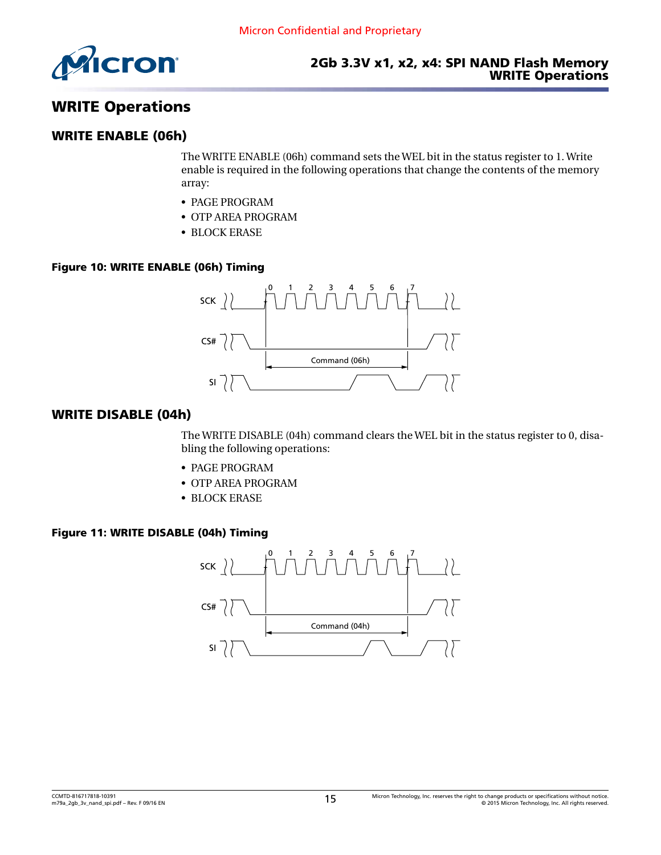<span id="page-14-0"></span>

# WRITE Operations

#### WRITE ENABLE (06h)

The WRITE ENABLE (06h) command sets the WEL bit in the status register to 1. Write enable is required in the following operations that change the contents of the memory array:

- PAGE PROGRAM
- OTP AREA PROGRAM
- BLOCK ERASE

#### Figure 10: WRITE ENABLE (06h) Timing



### WRITE DISABLE (04h)

The WRITE DISABLE (04h) command clears the WEL bit in the status register to 0, disabling the following operations:

- PAGE PROGRAM
- OTP AREA PROGRAM
- BLOCK ERASE

#### Figure 11: WRITE DISABLE (04h) Timing

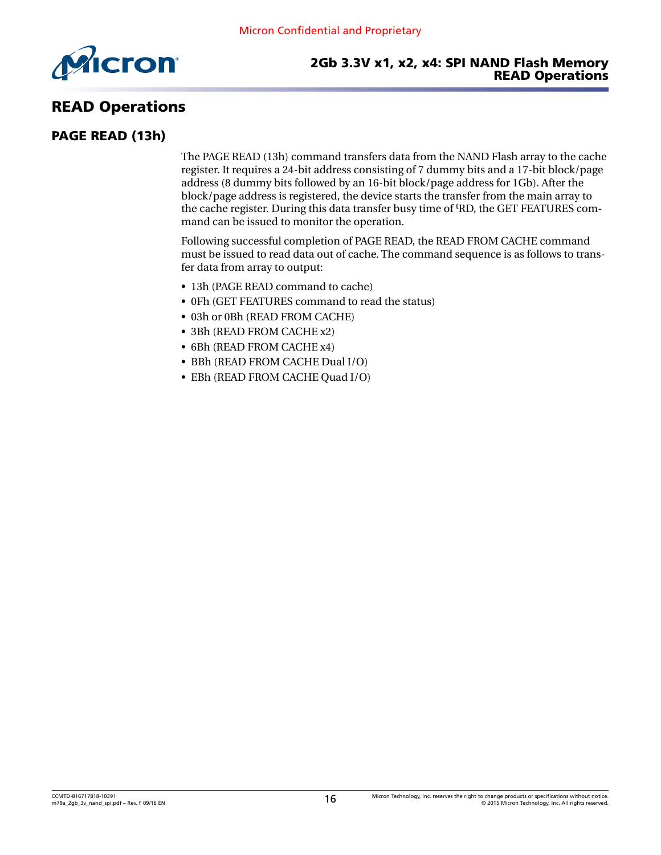<span id="page-15-0"></span>

# READ Operations

### PAGE READ (13h)

The PAGE READ (13h) command transfers data from the NAND Flash array to the cache register. It requires a 24-bit address consisting of 7 dummy bits and a 17-bit block/page address (8 dummy bits followed by an 16-bit block/page address for 1Gb). After the block/page address is registered, the device starts the transfer from the main array to the cache register. During this data transfer busy time of tRD, the GET FEATURES command can be issued to monitor the operation.

Following successful completion of PAGE READ, the READ FROM CACHE command must be issued to read data out of cache. The command sequence is as follows to transfer data from array to output:

- 13h (PAGE READ command to cache)
- 0Fh (GET FEATURES command to read the status)
- 03h or 0Bh (READ FROM CACHE)
- 3Bh (READ FROM CACHE x2)
- 6Bh (READ FROM CACHE x4)
- BBh (READ FROM CACHE Dual I/O)
- EBh (READ FROM CACHE Quad I/O)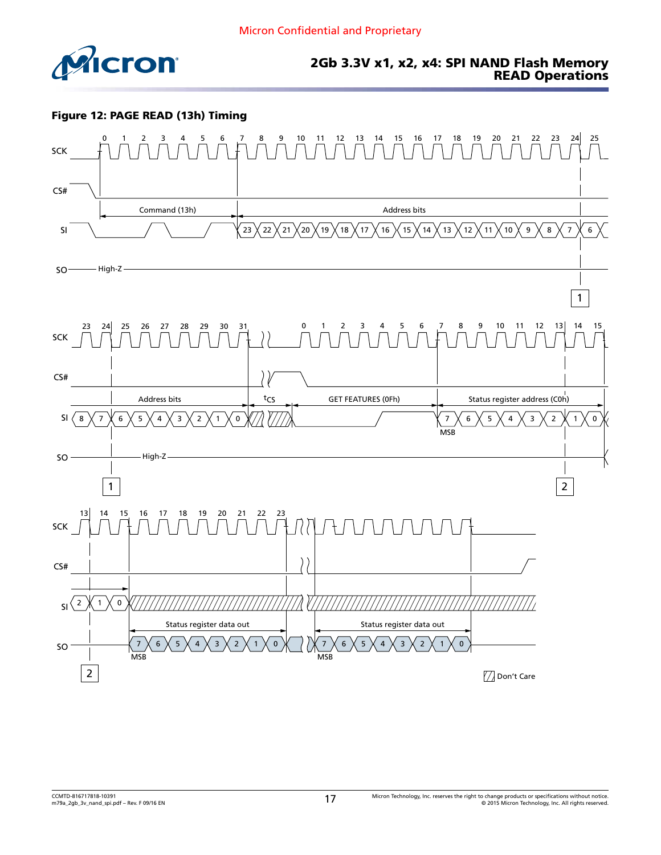<span id="page-16-0"></span>

#### Figure 12: PAGE READ (13h) Timing

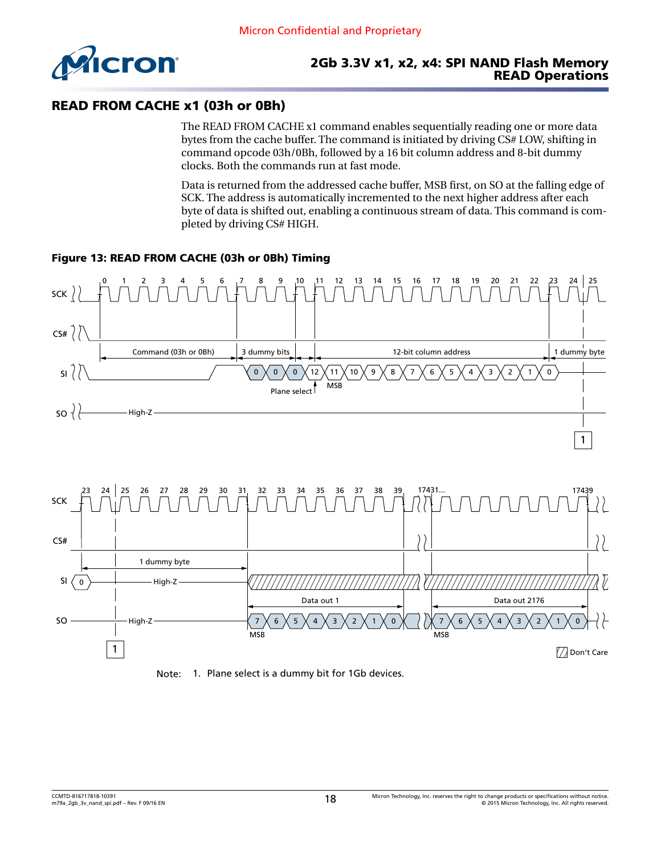<span id="page-17-0"></span>

### READ FROM CACHE x1 (03h or 0Bh)

The READ FROM CACHE x1 command enables sequentially reading one or more data bytes from the cache buffer. The command is initiated by driving CS# LOW, shifting in command opcode 03h/0Bh, followed by a 16 bit column address and 8-bit dummy clocks. Both the commands run at fast mode.

Data is returned from the addressed cache buffer, MSB first, on SO at the falling edge of SCK. The address is automatically incremented to the next higher address after each byte of data is shifted out, enabling a continuous stream of data. This command is completed by driving CS# HIGH.

#### Figure 13: READ FROM CACHE (03h or 0Bh) Timing





Note: 1. Plane select is a dummy bit for 1Gb devices.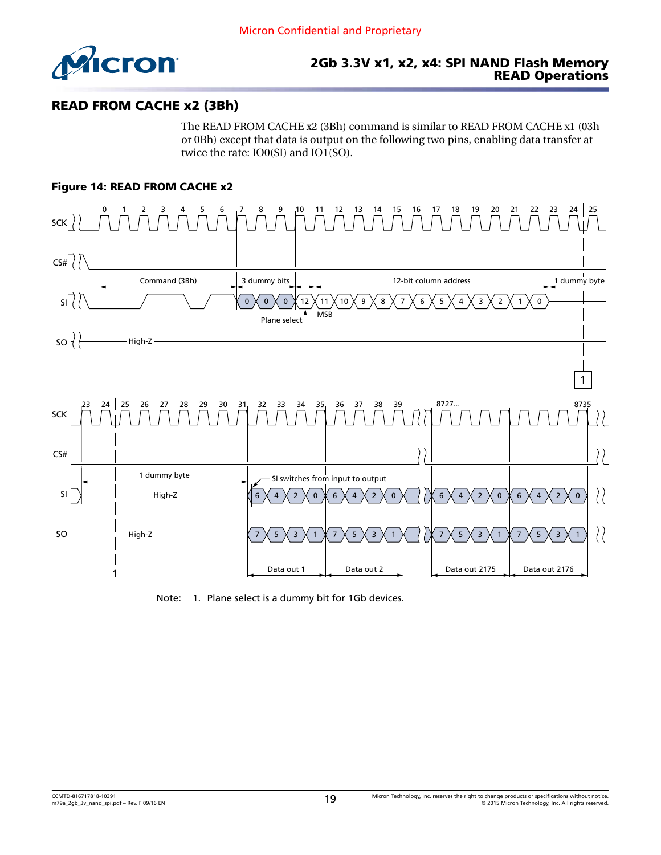<span id="page-18-0"></span>

### READ FROM CACHE x2 (3Bh)

The READ FROM CACHE x2 (3Bh) command is similar to READ FROM CACHE x1 (03h or 0Bh) except that data is output on the following two pins, enabling data transfer at twice the rate: IO0(SI) and IO1(SO).

#### Figure 14: READ FROM CACHE x2



Note: 1. Plane select is a dummy bit for 1Gb devices.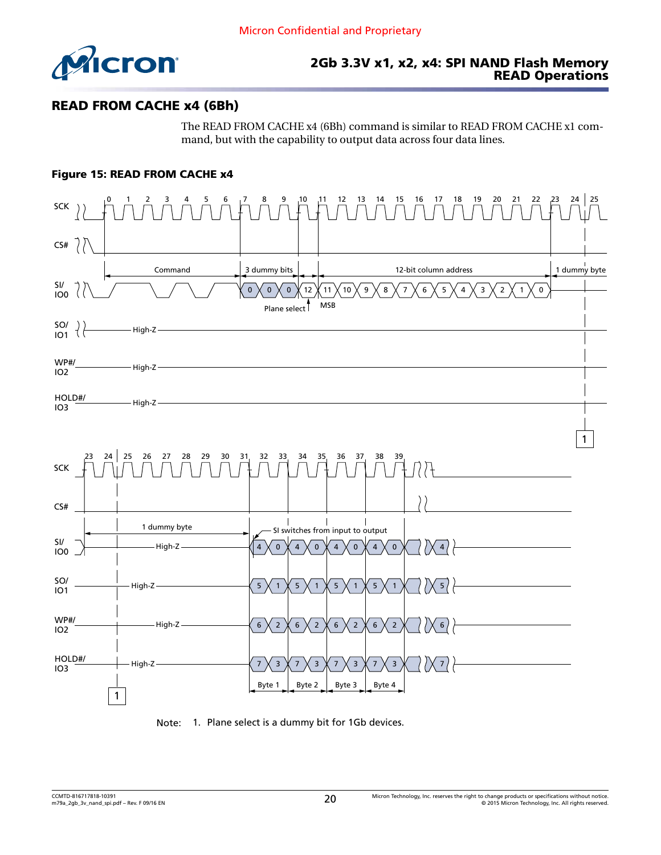<span id="page-19-0"></span>

### READ FROM CACHE x4 (6Bh)

The READ FROM CACHE x4 (6Bh) command is similar to READ FROM CACHE x1 command, but with the capability to output data across four data lines.

#### Figure 15: READ FROM CACHE x4



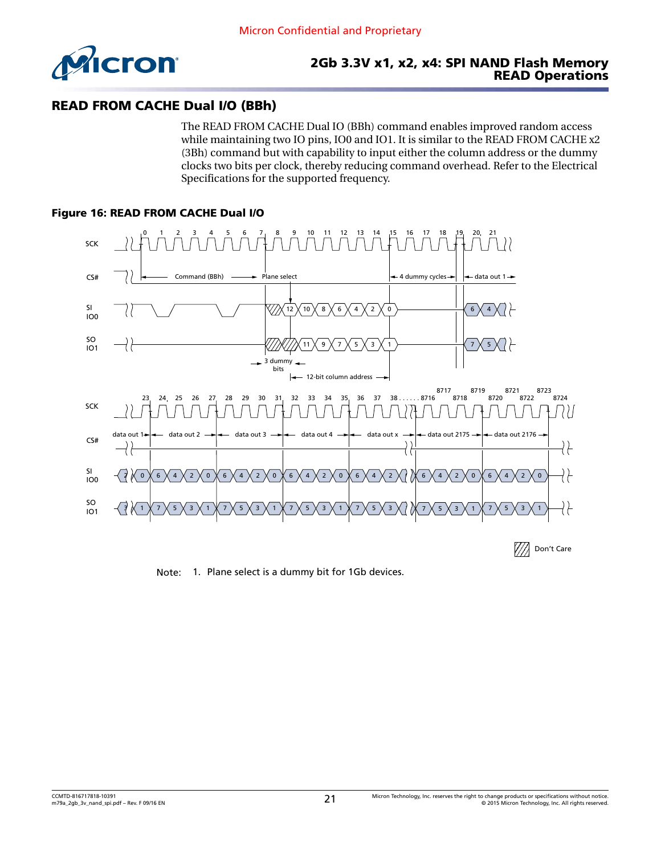<span id="page-20-0"></span>

### READ FROM CACHE Dual I/O (BBh)

The READ FROM CACHE Dual IO (BBh) command enables improved random access while maintaining two IO pins, IO0 and IO1. It is similar to the READ FROM CACHE x2 (3Bh) command but with capability to input either the column address or the dummy clocks two bits per clock, thereby reducing command overhead. Refer to the Electrical Specifications for the supported frequency.

#### Figure 16: READ FROM CACHE Dual I/O



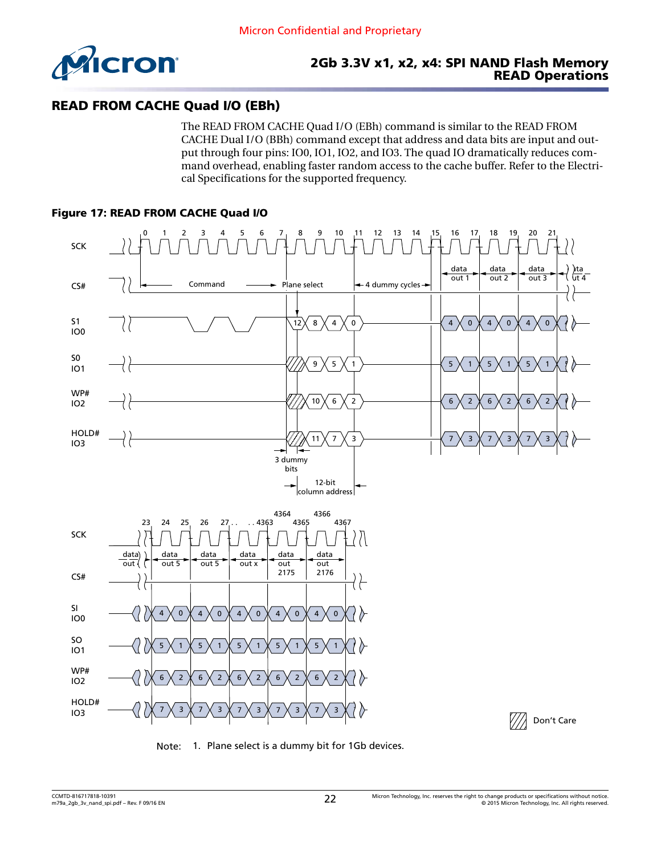<span id="page-21-0"></span>

### READ FROM CACHE Quad I/O (EBh)

The READ FROM CACHE Quad I/O (EBh) command is similar to the READ FROM CACHE Dual I/O (BBh) command except that address and data bits are input and output through four pins: IO0, IO1, IO2, and IO3. The quad IO dramatically reduces command overhead, enabling faster random access to the cache buffer. Refer to the Electrical Specifications for the supported frequency.

#### Figure 17: READ FROM CACHE Quad I/O



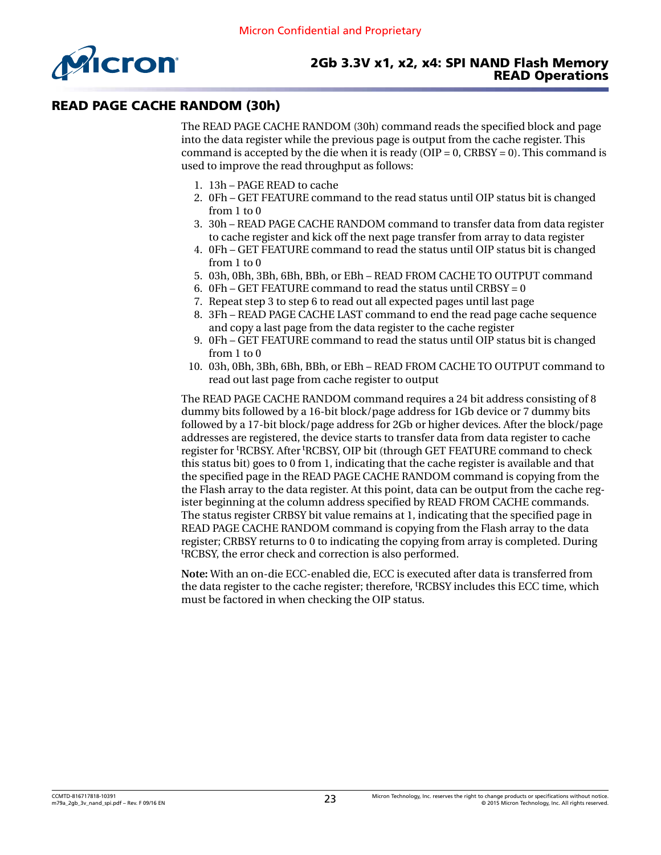<span id="page-22-0"></span>

### READ PAGE CACHE RANDOM (30h)

The READ PAGE CACHE RANDOM (30h) command reads the specified block and page into the data register while the previous page is output from the cache register. This command is accepted by the die when it is ready ( $OIP = 0$ ,  $CRBSY = 0$ ). This command is used to improve the read throughput as follows:

- 1. 13h PAGE READ to cache
- 2. 0Fh GET FEATURE command to the read status until OIP status bit is changed from 1 to 0
- 3. 30h READ PAGE CACHE RANDOM command to transfer data from data register to cache register and kick off the next page transfer from array to data register
- 4. 0Fh GET FEATURE command to read the status until OIP status bit is changed from 1 to 0
- 5. 03h, 0Bh, 3Bh, 6Bh, BBh, or EBh READ FROM CACHE TO OUTPUT command
- 6. OFh GET FEATURE command to read the status until CRBSY =  $0$
- 7. Repeat step 3 to step 6 to read out all expected pages until last page
- 8. 3Fh READ PAGE CACHE LAST command to end the read page cache sequence and copy a last page from the data register to the cache register
- 9. 0Fh GET FEATURE command to read the status until OIP status bit is changed from 1 to 0
- 10. 03h, 0Bh, 3Bh, 6Bh, BBh, or EBh READ FROM CACHE TO OUTPUT command to read out last page from cache register to output

The READ PAGE CACHE RANDOM command requires a 24 bit address consisting of 8 dummy bits followed by a 16-bit block/page address for 1Gb device or 7 dummy bits followed by a 17-bit block/page address for 2Gb or higher devices. After the block/page addresses are registered, the device starts to transfer data from data register to cache register for tRCBSY. After tRCBSY, OIP bit (through GET FEATURE command to check this status bit) goes to 0 from 1, indicating that the cache register is available and that the specified page in the READ PAGE CACHE RANDOM command is copying from the the Flash array to the data register. At this point, data can be output from the cache register beginning at the column address specified by READ FROM CACHE commands. The status register CRBSY bit value remains at 1, indicating that the specified page in READ PAGE CACHE RANDOM command is copying from the Flash array to the data register; CRBSY returns to 0 to indicating the copying from array is completed. During <sup>t</sup>RCBSY, the error check and correction is also performed.

**Note:** With an on-die ECC-enabled die, ECC is executed after data is transferred from the data register to the cache register; therefore, tRCBSY includes this ECC time, which must be factored in when checking the OIP status.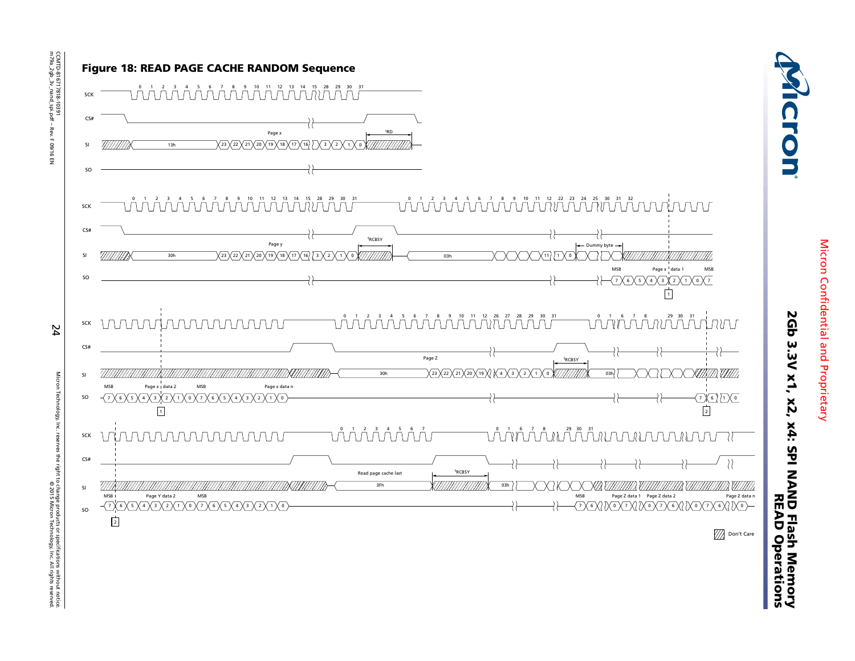

<span id="page-23-0"></span>CCMTD-816717818-10391<br>m79a\_2gb\_3v\_nand\_spi.pdf – Rev. F 09/16 EN m79a\_2gb\_3v\_nand\_spi.pdf – Rev. F 09/16 EN CCMTD-816717818-10391

24

Micron Technology, Inc. reserves the right to change products or specifications without notice. © 2015 Micron Technology, Inc. All rights reserved.ves the right to change products or specifications without notice<br>wes the right to change products or specifications without notice Micron Confidential and Proprietary Micron Confidential and Proprietary

2Gb 3.3V x1, x2, x4: SPI NAND Flash Memory

2Gb 3.3V x1, x2, x4: SPI NAND Flash Memory<br>2Gb 3.3V x1, x2, x4: SPI NAND Flash Memor

Cron

READ Operations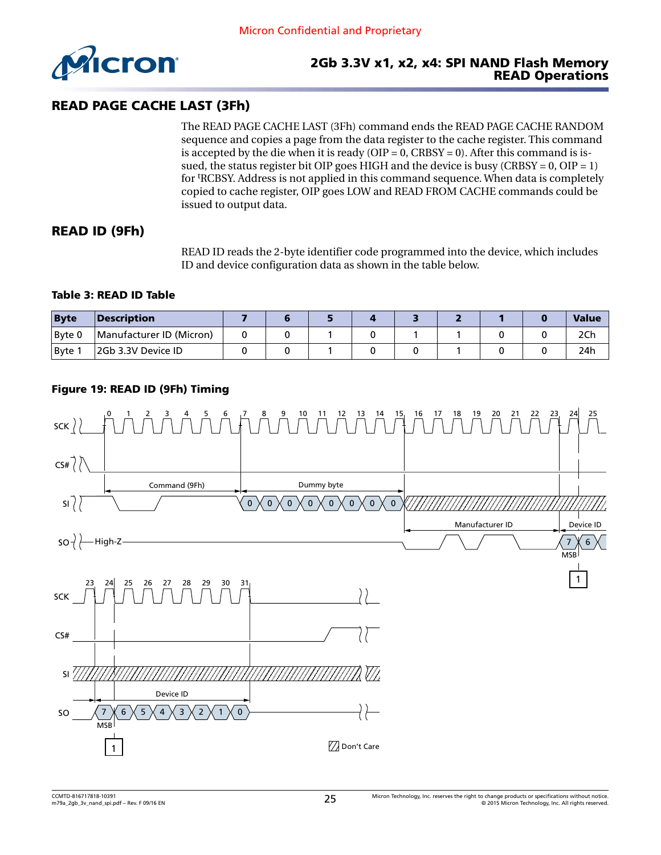<span id="page-24-0"></span>

### READ PAGE CACHE LAST (3Fh)

The READ PAGE CACHE LAST (3Fh) command ends the READ PAGE CACHE RANDOM sequence and copies a page from the data register to the cache register. This command is accepted by the die when it is ready (OIP =  $0$ , CRBSY = 0). After this command is issued, the status register bit OIP goes HIGH and the device is busy (CRBSY =  $0$ , OIP = 1) for tRCBSY. Address is not applied in this command sequence. When data is completely copied to cache register, OIP goes LOW and READ FROM CACHE commands could be issued to output data.

### READ ID (9Fh)

READ ID reads the 2-byte identifier code programmed into the device, which includes ID and device configuration data as shown in the table below.

#### Table 3: READ ID Table

| <b>Byte</b> | Description              |  |  |  |  | <b>Value</b> |
|-------------|--------------------------|--|--|--|--|--------------|
| Byte 0      | Manufacturer ID (Micron) |  |  |  |  |              |
| Byte        | 2Gb 3.3V Device ID       |  |  |  |  | 24h          |

#### Figure 19: READ ID (9Fh) Timing

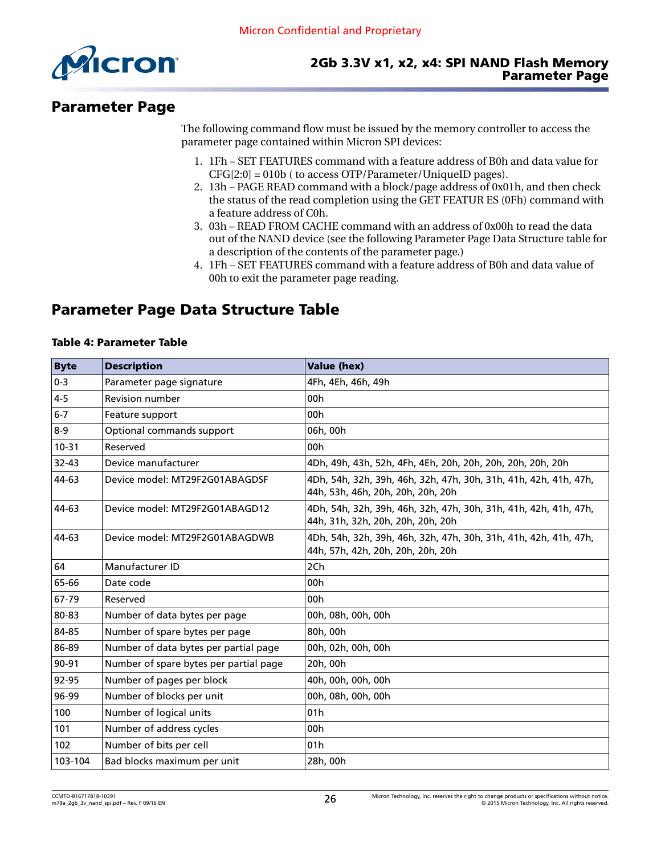<span id="page-25-0"></span>

# Parameter Page

The following command flow must be issued by the memory controller to access the parameter page contained within Micron SPI devices:

- 1. 1Fh SET FEATURES command with a feature address of B0h and data value for CFG[2:0] = 010b ( to access OTP/Parameter/UniqueID pages).
- 2. 13h PAGE READ command with a block/page address of 0x01h, and then check the status of the read completion using the GET FEATUR ES (0Fh) command with a feature address of C0h.
- 3. 03h READ FROM CACHE command with an address of 0x00h to read the data out of the NAND device (see the following Parameter Page Data Structure table for a description of the contents of the parameter page.)
- 4. 1Fh SET FEATURES command with a feature address of B0h and data value of 00h to exit the parameter page reading.

# Parameter Page Data Structure Table

#### Table 4: Parameter Table

| <b>Byte</b> | <b>Description</b>                     | <b>Value (hex)</b>                                                                                    |
|-------------|----------------------------------------|-------------------------------------------------------------------------------------------------------|
| $0 - 3$     | Parameter page signature               | 4Fh, 4Eh, 46h, 49h                                                                                    |
| $4 - 5$     | <b>Revision number</b>                 | 00h                                                                                                   |
| $6 - 7$     | Feature support                        | 00 <sub>h</sub>                                                                                       |
| $8-9$       | Optional commands support              | 06h, 00h                                                                                              |
| $10 - 31$   | Reserved                               | 00 <sub>h</sub>                                                                                       |
| 32-43       | Device manufacturer                    | 4Dh, 49h, 43h, 52h, 4Fh, 4Eh, 20h, 20h, 20h, 20h, 20h, 20h                                            |
| 44-63       | Device model: MT29F2G01ABAGDSF         | 4Dh, 54h, 32h, 39h, 46h, 32h, 47h, 30h, 31h, 41h, 42h, 41h, 47h,<br>44h, 53h, 46h, 20h, 20h, 20h, 20h |
| 44-63       | Device model: MT29F2G01ABAGD12         | 4Dh, 54h, 32h, 39h, 46h, 32h, 47h, 30h, 31h, 41h, 42h, 41h, 47h,<br>44h, 31h, 32h, 20h, 20h, 20h, 20h |
| 44-63       | Device model: MT29F2G01ABAGDWB         | 4Dh, 54h, 32h, 39h, 46h, 32h, 47h, 30h, 31h, 41h, 42h, 41h, 47h,<br>44h, 57h, 42h, 20h, 20h, 20h, 20h |
| 64          | Manufacturer ID                        | 2Ch                                                                                                   |
| 65-66       | Date code                              | 00h                                                                                                   |
| 67-79       | Reserved                               | 00h                                                                                                   |
| 80-83       | Number of data bytes per page          | 00h, 08h, 00h, 00h                                                                                    |
| 84-85       | Number of spare bytes per page         | 80h, 00h                                                                                              |
| 86-89       | Number of data bytes per partial page  | 00h, 02h, 00h, 00h                                                                                    |
| 90-91       | Number of spare bytes per partial page | 20h, 00h                                                                                              |
| 92-95       | Number of pages per block              | 40h, 00h, 00h, 00h                                                                                    |
| 96-99       | Number of blocks per unit              | 00h, 08h, 00h, 00h                                                                                    |
| 100         | Number of logical units                | 01h                                                                                                   |
| 101         | Number of address cycles               | 00h                                                                                                   |
| 102         | Number of bits per cell                | 01 <sub>h</sub>                                                                                       |
| 103-104     | Bad blocks maximum per unit            | 28h, 00h                                                                                              |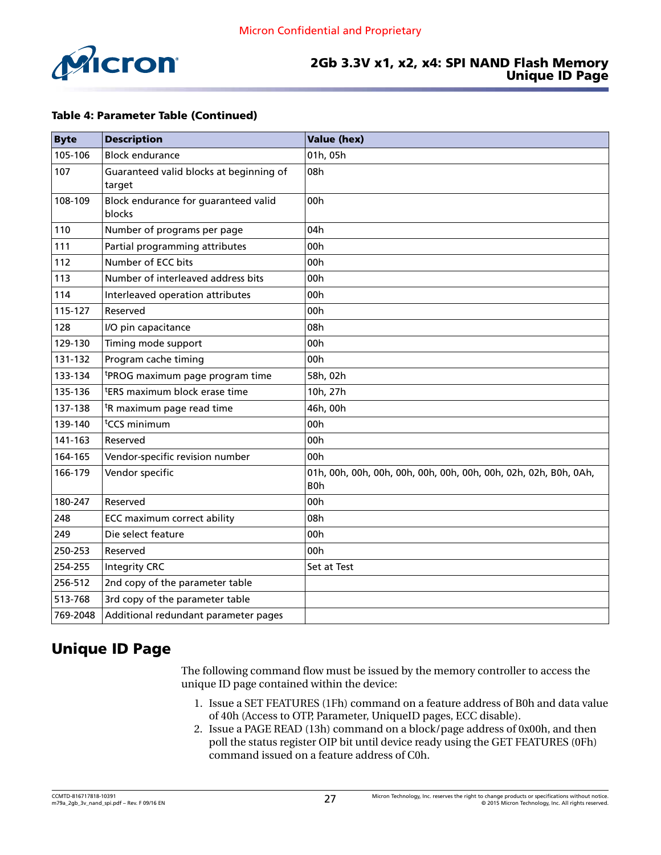<span id="page-26-0"></span>

### 2Gb 3.3V x1, x2, x4: SPI NAND Flash Memory Unique ID Page

#### Table 4: Parameter Table (Continued)

| <b>Byte</b> | <b>Description</b>                                | <b>Value (hex)</b> |
|-------------|---------------------------------------------------|--------------------|
| 105-106     | <b>Block endurance</b>                            | 01h, 05h           |
| 107         | Guaranteed valid blocks at beginning of<br>target | 08h                |
| 108-109     | Block endurance for guaranteed valid<br>blocks    | 00h                |
| 110         | Number of programs per page                       | 04h                |
| 111         | Partial programming attributes                    | 00h                |
| 112         | Number of ECC bits                                | 00h                |
| 113         | Number of interleaved address bits                | 00h                |
| 114         | Interleaved operation attributes                  | 00 <sub>h</sub>    |
| 115-127     | Reserved                                          | 00h                |
| 128         | I/O pin capacitance                               | 08h                |
| 129-130     | Timing mode support                               | 00h                |
| 131-132     | Program cache timing                              | 00h                |
| 133-134     | <sup>t</sup> PROG maximum page program time       | 58h, 02h           |
| 135-136     | <sup>t</sup> ERS maximum block erase time         | 10h, 27h           |
| 137-138     | <sup>t</sup> R maximum page read time             | 46h, 00h           |
| 139-140     | <sup>t</sup> CCS minimum                          | 00h                |
| 141-163     | Reserved                                          | 00h                |
| 164-165     | Vendor-specific revision number                   | 00 <sub>h</sub>    |
| 166-179     | Vendor specific                                   | B <sub>0</sub> h   |
| 180-247     | Reserved                                          | 00h                |
| 248         | <b>ECC maximum correct ability</b>                | 08h                |
| 249         | Die select feature                                | 00h                |
| 250-253     | Reserved                                          | 00h                |
| 254-255     | <b>Integrity CRC</b>                              | Set at Test        |
| 256-512     | 2nd copy of the parameter table                   |                    |
| 513-768     | 3rd copy of the parameter table                   |                    |
| 769-2048    | Additional redundant parameter pages              |                    |

# Unique ID Page

The following command flow must be issued by the memory controller to access the unique ID page contained within the device:

- 1. Issue a SET FEATURES (1Fh) command on a feature address of B0h and data value of 40h (Access to OTP, Parameter, UniqueID pages, ECC disable).
- 2. Issue a PAGE READ (13h) command on a block/page address of 0x00h, and then poll the status register OIP bit until device ready using the GET FEATURES (0Fh) command issued on a feature address of C0h.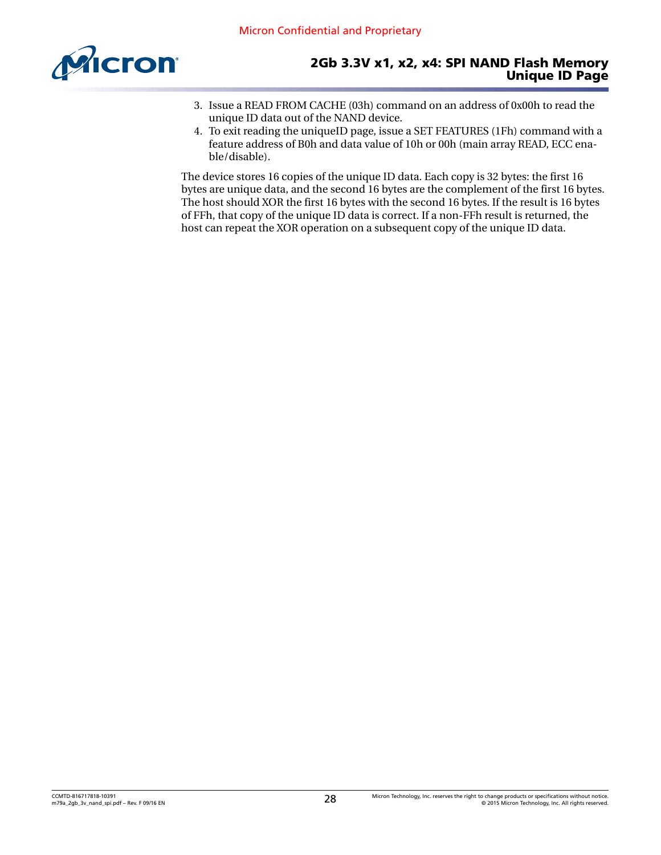

- 3. Issue a READ FROM CACHE (03h) command on an address of 0x00h to read the unique ID data out of the NAND device.
- 4. To exit reading the uniqueID page, issue a SET FEATURES (1Fh) command with a feature address of B0h and data value of 10h or 00h (main array READ, ECC enable/disable).

The device stores 16 copies of the unique ID data. Each copy is 32 bytes: the first 16 bytes are unique data, and the second 16 bytes are the complement of the first 16 bytes. The host should XOR the first 16 bytes with the second 16 bytes. If the result is 16 bytes of FFh, that copy of the unique ID data is correct. If a non-FFh result is returned, the host can repeat the XOR operation on a subsequent copy of the unique ID data.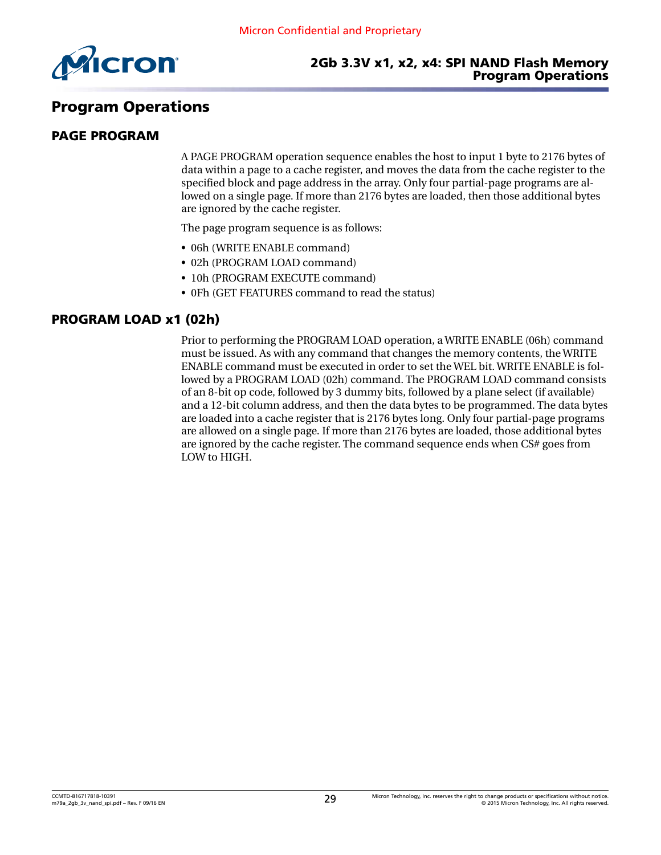<span id="page-28-0"></span>

# Program Operations

#### PAGE PROGRAM

A PAGE PROGRAM operation sequence enables the host to input 1 byte to 2176 bytes of data within a page to a cache register, and moves the data from the cache register to the specified block and page address in the array. Only four partial-page programs are allowed on a single page. If more than 2176 bytes are loaded, then those additional bytes are ignored by the cache register.

The page program sequence is as follows:

- 06h (WRITE ENABLE command)
- 02h (PROGRAM LOAD command)
- 10h (PROGRAM EXECUTE command)
- 0Fh (GET FEATURES command to read the status)

#### PROGRAM LOAD x1 (02h)

Prior to performing the PROGRAM LOAD operation, a WRITE ENABLE (06h) command must be issued. As with any command that changes the memory contents, the WRITE ENABLE command must be executed in order to set the WEL bit. WRITE ENABLE is followed by a PROGRAM LOAD (02h) command. The PROGRAM LOAD command consists of an 8-bit op code, followed by 3 dummy bits, followed by a plane select (if available) and a 12-bit column address, and then the data bytes to be programmed. The data bytes are loaded into a cache register that is 2176 bytes long. Only four partial-page programs are allowed on a single page. If more than 2176 bytes are loaded, those additional bytes are ignored by the cache register. The command sequence ends when CS# goes from LOW to HIGH.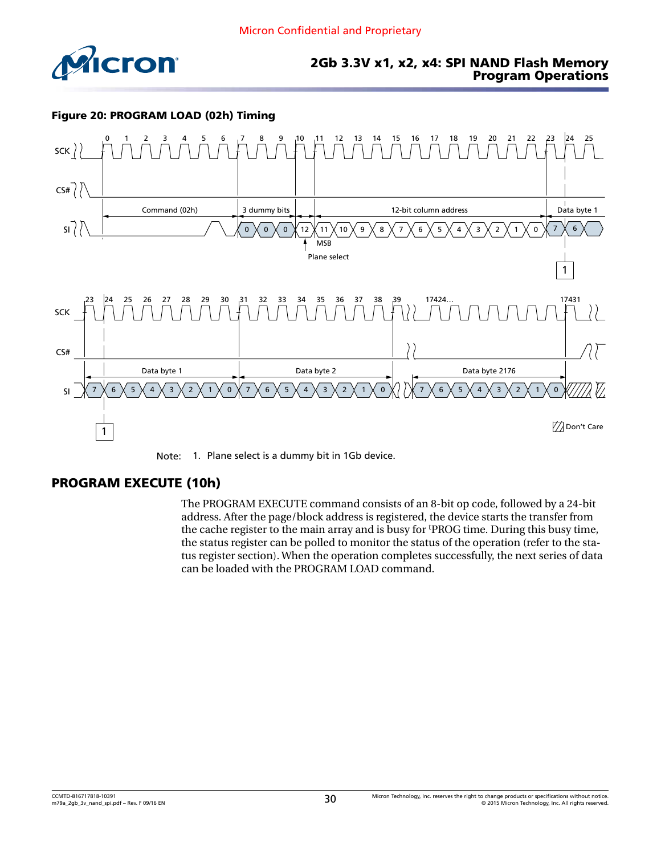<span id="page-29-0"></span>

#### Figure 20: PROGRAM LOAD (02h) Timing





### PROGRAM EXECUTE (10h)

The PROGRAM EXECUTE command consists of an 8-bit op code, followed by a 24-bit address. After the page/block address is registered, the device starts the transfer from the cache register to the main array and is busy for tPROG time. During this busy time, the status register can be polled to monitor the status of the operation (refer to the status register section). When the operation completes successfully, the next series of data can be loaded with the PROGRAM LOAD command.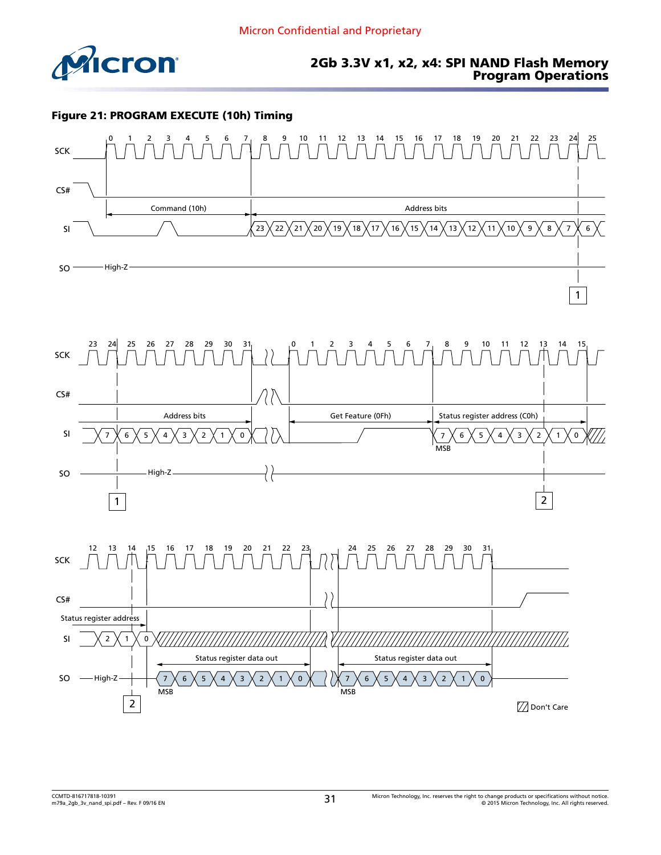<span id="page-30-0"></span>

#### Figure 21: PROGRAM EXECUTE (10h) Timing





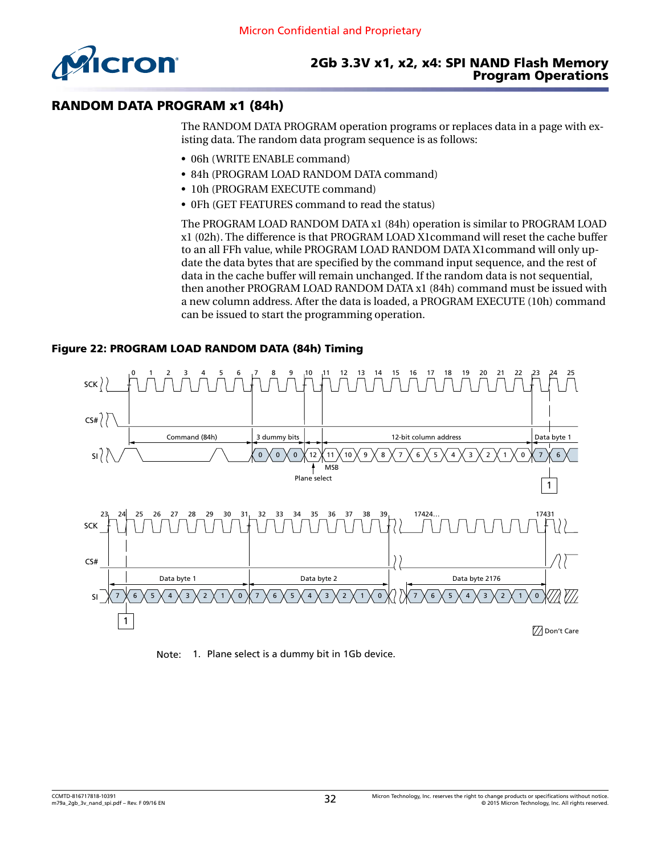<span id="page-31-0"></span>

### RANDOM DATA PROGRAM x1 (84h)

The RANDOM DATA PROGRAM operation programs or replaces data in a page with existing data. The random data program sequence is as follows:

- 06h (WRITE ENABLE command)
- 84h (PROGRAM LOAD RANDOM DATA command)
- 10h (PROGRAM EXECUTE command)
- 0Fh (GET FEATURES command to read the status)

The PROGRAM LOAD RANDOM DATA x1 (84h) operation is similar to PROGRAM LOAD x1 (02h). The difference is that PROGRAM LOAD X1command will reset the cache buffer to an all FFh value, while PROGRAM LOAD RANDOM DATA X1command will only update the data bytes that are specified by the command input sequence, and the rest of data in the cache buffer will remain unchanged. If the random data is not sequential, then another PROGRAM LOAD RANDOM DATA x1 (84h) command must be issued with a new column address. After the data is loaded, a PROGRAM EXECUTE (10h) command can be issued to start the programming operation.





Note: 1. Plane select is a dummy bit in 1Gb device.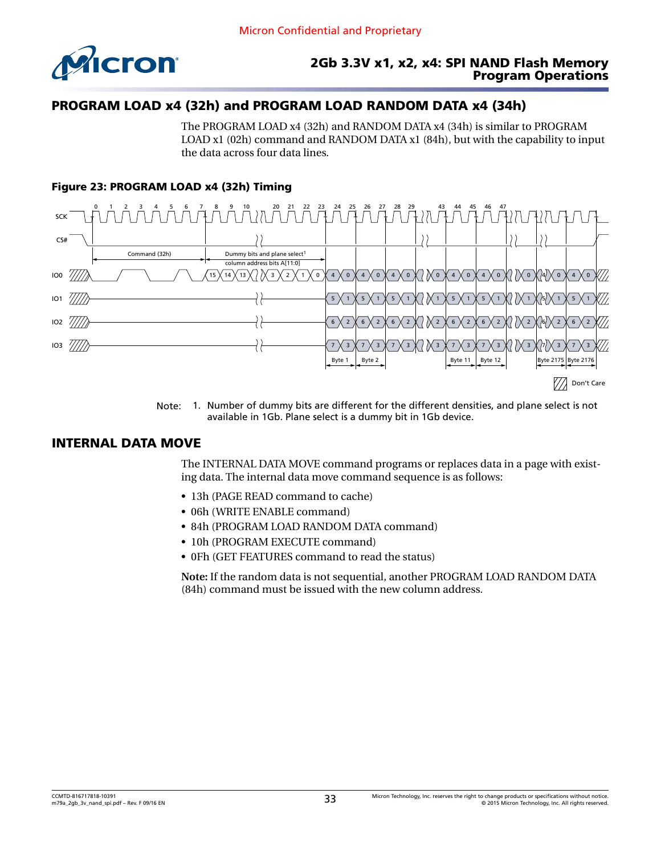<span id="page-32-0"></span>

## PROGRAM LOAD x4 (32h) and PROGRAM LOAD RANDOM DATA x4 (34h)

The PROGRAM LOAD x4 (32h) and RANDOM DATA x4 (34h) is similar to PROGRAM LOAD x1 (02h) command and RANDOM DATA x1 (84h), but with the capability to input the data across four data lines.

### Figure 23: PROGRAM LOAD x4 (32h) Timing



Note: 1. Number of dummy bits are different for the different densities, and plane select is not available in 1Gb. Plane select is a dummy bit in 1Gb device.

### INTERNAL DATA MOVE

The INTERNAL DATA MOVE command programs or replaces data in a page with existing data. The internal data move command sequence is as follows:

- 13h (PAGE READ command to cache)
- 06h (WRITE ENABLE command)
- 84h (PROGRAM LOAD RANDOM DATA command)
- 10h (PROGRAM EXECUTE command)
- 0Fh (GET FEATURES command to read the status)

**Note:** If the random data is not sequential, another PROGRAM LOAD RANDOM DATA (84h) command must be issued with the new column address.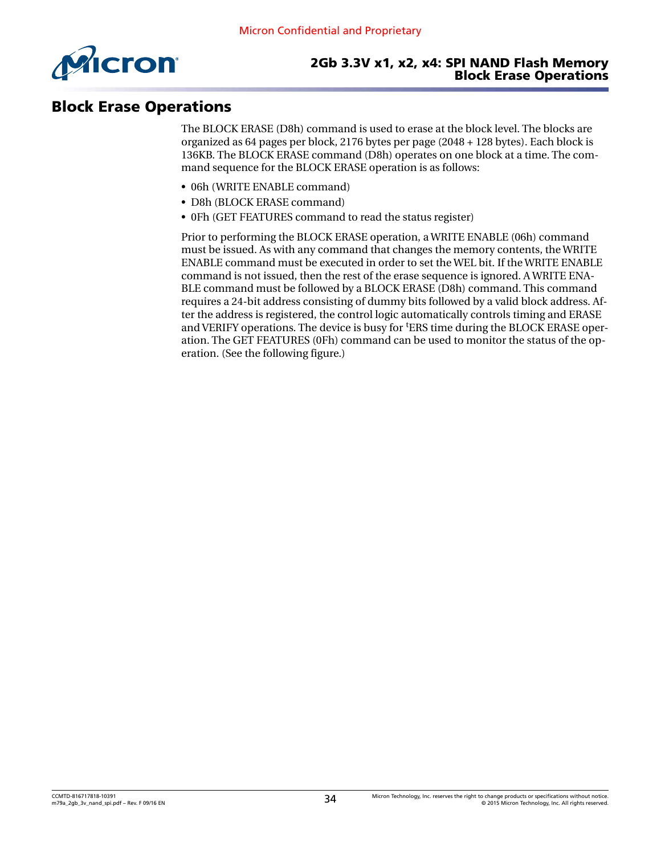<span id="page-33-0"></span>

## Block Erase Operations

The BLOCK ERASE (D8h) command is used to erase at the block level. The blocks are organized as 64 pages per block, 2176 bytes per page (2048 + 128 bytes). Each block is 136KB. The BLOCK ERASE command (D8h) operates on one block at a time. The command sequence for the BLOCK ERASE operation is as follows:

- 06h (WRITE ENABLE command)
- D8h (BLOCK ERASE command)
- 0Fh (GET FEATURES command to read the status register)

Prior to performing the BLOCK ERASE operation, a WRITE ENABLE (06h) command must be issued. As with any command that changes the memory contents, the WRITE ENABLE command must be executed in order to set the WEL bit. If the WRITE ENABLE command is not issued, then the rest of the erase sequence is ignored. A WRITE ENA-BLE command must be followed by a BLOCK ERASE (D8h) command. This command requires a 24-bit address consisting of dummy bits followed by a valid block address. After the address is registered, the control logic automatically controls timing and ERASE and VERIFY operations. The device is busy for tERS time during the BLOCK ERASE operation. The GET FEATURES (0Fh) command can be used to monitor the status of the operation. (See the following figure.)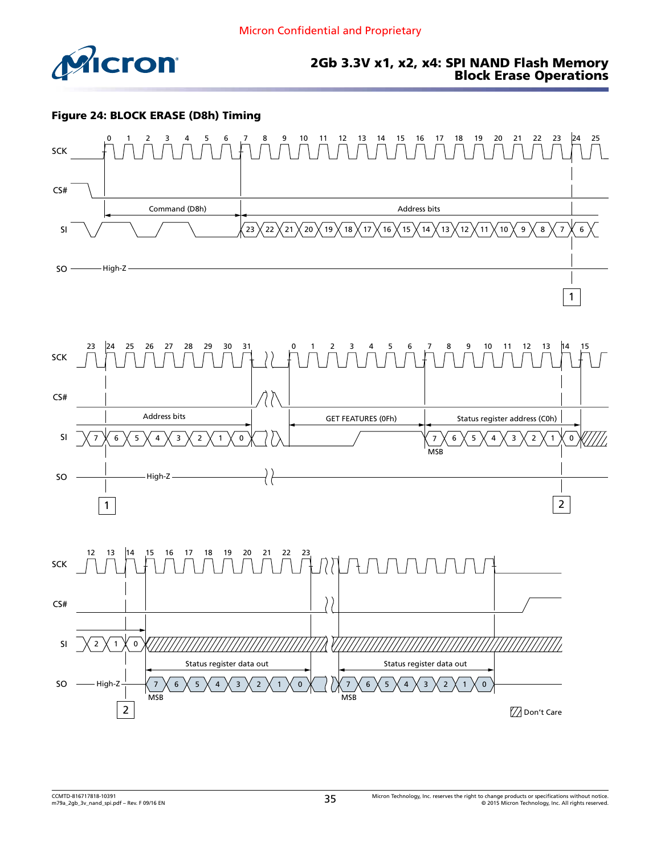<span id="page-34-0"></span>

#### 2Gb 3.3V x1, x2, x4: SPI NAND Flash Memory Block Erase Operations

#### Figure 24: BLOCK ERASE (D8h) Timing





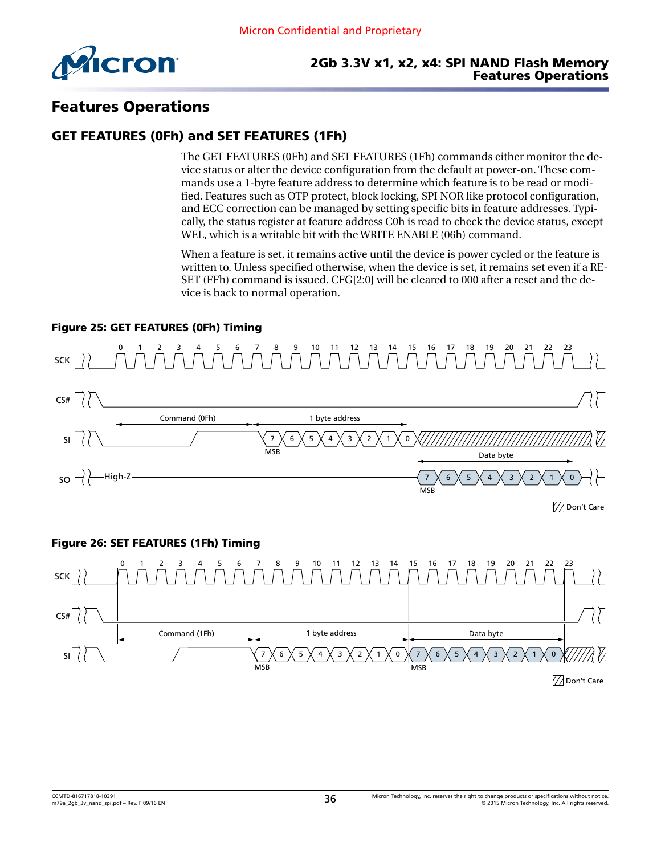<span id="page-35-0"></span>

#### 2Gb 3.3V x1, x2, x4: SPI NAND Flash Memory Features Operations

# Features Operations

### GET FEATURES (0Fh) and SET FEATURES (1Fh)

The GET FEATURES (0Fh) and SET FEATURES (1Fh) commands either monitor the device status or alter the device configuration from the default at power-on. These commands use a 1-byte feature address to determine which feature is to be read or modified. Features such as OTP protect, block locking, SPI NOR like protocol configuration, and ECC correction can be managed by setting specific bits in feature addresses. Typically, the status register at feature address C0h is read to check the device status, except WEL, which is a writable bit with the WRITE ENABLE (06h) command.

When a feature is set, it remains active until the device is power cycled or the feature is written to. Unless specified otherwise, when the device is set, it remains set even if a RE-SET (FFh) command is issued. CFG[2:0] will be cleared to 000 after a reset and the device is back to normal operation.

#### Figure 25: GET FEATURES (0Fh) Timing



77 Don't Care

#### Figure 26: SET FEATURES (1Fh) Timing

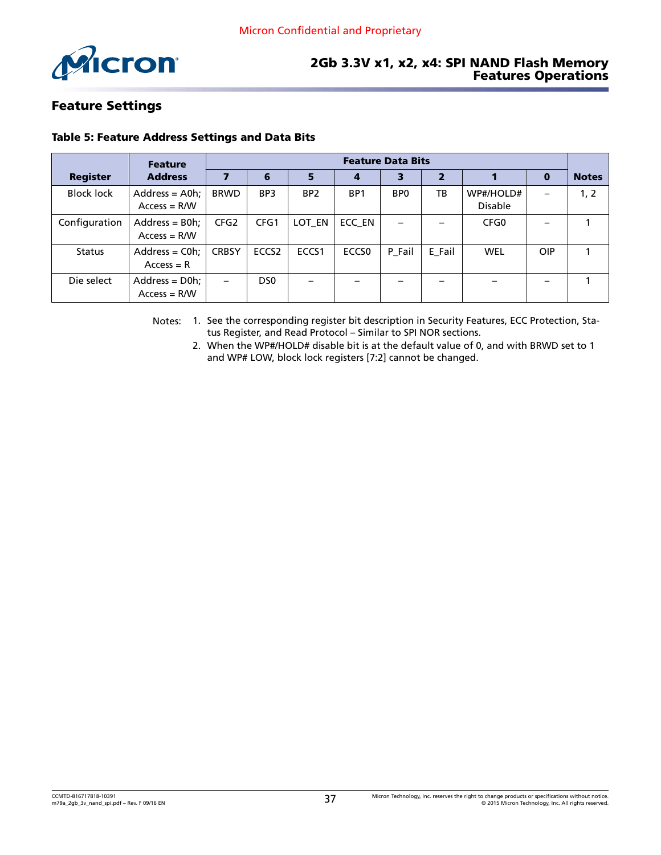<span id="page-36-0"></span>

#### 2Gb 3.3V x1, x2, x4: SPI NAND Flash Memory Features Operations

### Feature Settings

#### Table 5: Feature Address Settings and Data Bits

|                   | <b>Feature</b>                      | <b>Feature Data Bits</b> |                   |                 |                   |                 |        |                             |                          |              |
|-------------------|-------------------------------------|--------------------------|-------------------|-----------------|-------------------|-----------------|--------|-----------------------------|--------------------------|--------------|
| <b>Register</b>   | <b>Address</b>                      |                          | 6                 | 5               | 4                 | з               | 2      |                             | $\bf{0}$                 | <b>Notes</b> |
| <b>Block lock</b> | $Address = A0h$ ;<br>$Access = R/W$ | <b>BRWD</b>              | BP <sub>3</sub>   | BP <sub>2</sub> | BP <sub>1</sub>   | BP <sub>0</sub> | ТB     | WP#/HOLD#<br><b>Disable</b> | $\qquad \qquad$          | 1, 2         |
| Configuration     | $Address = B0h;$<br>$Access = R/W$  | CFG <sub>2</sub>         | CFG1              | LOT EN          | ECC EN            |                 |        | CFG <sub>0</sub>            | $\overline{\phantom{0}}$ |              |
| <b>Status</b>     | $Address = Coh$<br>$Access = R$     | <b>CRBSY</b>             | ECCS <sub>2</sub> | ECCS1           | ECCS <sub>0</sub> | P_Fail          | E_Fail | <b>WEL</b>                  | OIP                      |              |
| Die select        | $Address = D0h$ ;<br>$Access = R/W$ | $\overline{\phantom{0}}$ | D <sub>50</sub>   |                 |                   |                 |        |                             |                          |              |

Notes: 1. See the corresponding register bit description in Security Features, ECC Protection, Status Register, and Read Protocol – Similar to SPI NOR sections.

2. When the WP#/HOLD# disable bit is at the default value of 0, and with BRWD set to 1 and WP# LOW, block lock registers [7:2] cannot be changed.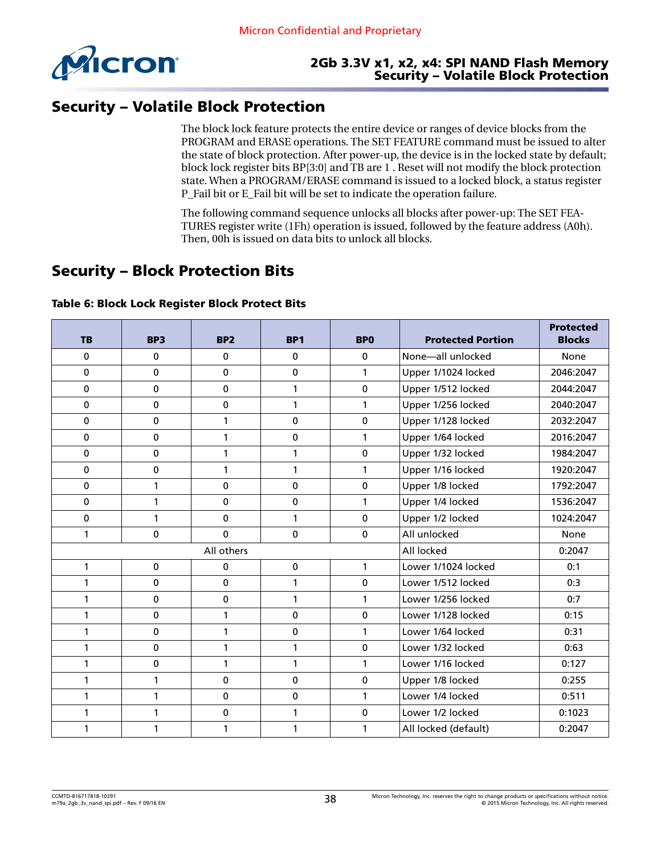<span id="page-37-0"></span>

### 2Gb 3.3V x1, x2, x4: SPI NAND Flash Memory Security – Volatile Block Protection

# Security – Volatile Block Protection

The block lock feature protects the entire device or ranges of device blocks from the PROGRAM and ERASE operations. The SET FEATURE command must be issued to alter the state of block protection. After power-up, the device is in the locked state by default; block lock register bits BP[3:0] and TB are 1 . Reset will not modify the block protection state. When a PROGRAM/ERASE command is issued to a locked block, a status register P\_Fail bit or E\_Fail bit will be set to indicate the operation failure.

The following command sequence unlocks all blocks after power-up: The SET FEA-TURES register write (1Fh) operation is issued, followed by the feature address (A0h). Then, 00h is issued on data bits to unlock all blocks.

# Security – Block Protection Bits

| <b>TB</b>    | BP <sub>3</sub> | <b>BP2</b>   | BP <sub>1</sub> | <b>BPO</b>   | <b>Protected Portion</b> | <b>Protected</b><br><b>Blocks</b> |
|--------------|-----------------|--------------|-----------------|--------------|--------------------------|-----------------------------------|
| $\mathbf{0}$ | 0               | 0            | $\mathbf 0$     | $\mathbf{0}$ | None-all unlocked        | None                              |
| $\mathbf 0$  | $\mathbf 0$     | 0            | 0               | $\mathbf{1}$ | Upper 1/1024 locked      | 2046:2047                         |
| $\mathbf 0$  | 0               | $\mathbf 0$  | 1               | $\mathbf 0$  | Upper 1/512 locked       | 2044:2047                         |
| 0            | $\mathbf 0$     | 0            | 1               | 1            | Upper 1/256 locked       | 2040:2047                         |
| $\pmb{0}$    | 0               | 1            | 0               | $\mathbf 0$  | Upper 1/128 locked       | 2032:2047                         |
| $\mathbf 0$  | $\mathbf 0$     | 1            | $\mathbf 0$     | 1            | Upper 1/64 locked        | 2016:2047                         |
| $\mathbf 0$  | $\pmb{0}$       | 1            | 1               | $\pmb{0}$    | Upper 1/32 locked        | 1984:2047                         |
| 0            | 0               | 1            | 1               | $\mathbf{1}$ | Upper 1/16 locked        | 1920:2047                         |
| 0            | $\mathbf{1}$    | $\mathbf 0$  | 0               | $\mathbf 0$  | Upper 1/8 locked         | 1792:2047                         |
| $\mathbf{0}$ | 1               | $\mathbf 0$  | $\mathbf 0$     | $\mathbf{1}$ | Upper 1/4 locked         | 1536:2047                         |
| $\mathbf 0$  | 1               | 0            | 1               | $\mathbf 0$  | Upper 1/2 locked         | 1024:2047                         |
| 1            | $\mathbf 0$     | $\mathbf 0$  | 0               | $\mathbf{0}$ | All unlocked             | None                              |
|              |                 | All others   |                 |              | All locked               | 0:2047                            |
| $\mathbf{1}$ | $\mathbf 0$     | 0            | $\mathbf 0$     | $\mathbf{1}$ | Lower 1/1024 locked      | 0:1                               |
| 1            | $\mathbf 0$     | 0            | 1               | $\mathbf 0$  | Lower 1/512 locked       | 0:3                               |
| $\mathbf{1}$ | $\mathbf 0$     | $\mathbf{0}$ | $\mathbf{1}$    | 1            | Lower 1/256 locked       | 0:7                               |
| 1            | 0               | 1            | 0               | 0            | Lower 1/128 locked       | 0:15                              |
| 1            | $\mathbf 0$     | 1            | $\mathbf 0$     | $\mathbf{1}$ | Lower 1/64 locked        | 0:31                              |
| $\mathbf{1}$ | 0               | 1            | 1               | $\mathbf 0$  | Lower 1/32 locked        | 0:63                              |
| 1            | 0               | 1            | 1               | 1            | Lower 1/16 locked        | 0:127                             |
| 1            | $\mathbf{1}$    | $\mathbf{0}$ | $\mathbf 0$     | $\mathbf{0}$ | Upper 1/8 locked         | 0:255                             |
| 1            | 1               | 0            | 0               | 1            | Lower 1/4 locked         | 0:511                             |
| $\mathbf{1}$ | 1               | 0            | 1               | $\mathbf 0$  | Lower 1/2 locked         | 0:1023                            |
| 1            | 1               | 1            | 1               | 1            | All locked (default)     | 0:2047                            |

#### Table 6: Block Lock Register Block Protect Bits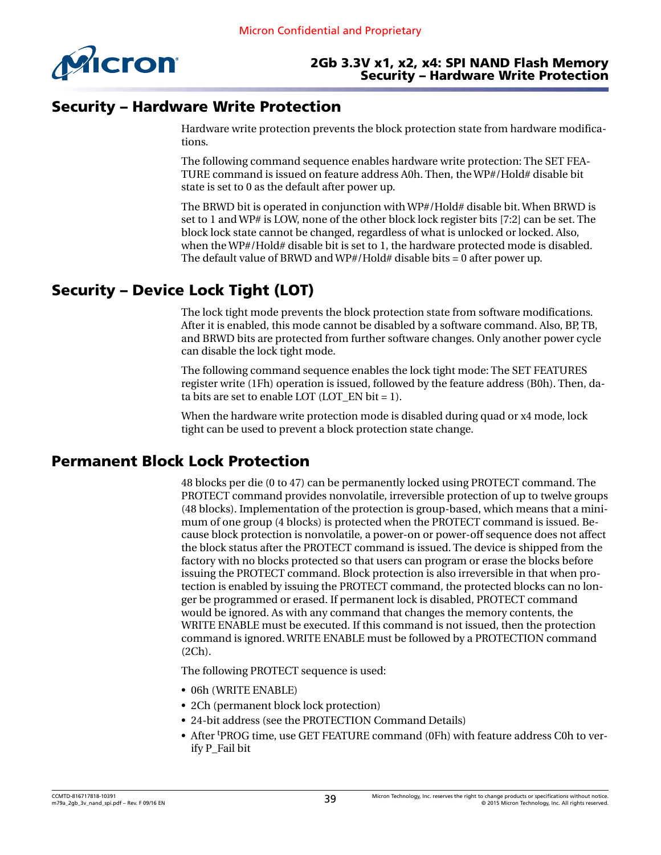<span id="page-38-0"></span>

### 2Gb 3.3V x1, x2, x4: SPI NAND Flash Memory Security – Hardware Write Protection

# Security – Hardware Write Protection

Hardware write protection prevents the block protection state from hardware modifications.

The following command sequence enables hardware write protection: The SET FEA-TURE command is issued on feature address A0h. Then, the WP#/Hold# disable bit state is set to 0 as the default after power up.

The BRWD bit is operated in conjunction with WP#/Hold# disable bit. When BRWD is set to 1 and WP# is LOW, none of the other block lock register bits [7:2] can be set. The block lock state cannot be changed, regardless of what is unlocked or locked. Also, when the WP#/Hold# disable bit is set to 1, the hardware protected mode is disabled. The default value of BRWD and WP#/Hold# disable bits  $= 0$  after power up.

# Security – Device Lock Tight (LOT)

The lock tight mode prevents the block protection state from software modifications. After it is enabled, this mode cannot be disabled by a software command. Also, BP, TB, and BRWD bits are protected from further software changes. Only another power cycle can disable the lock tight mode.

The following command sequence enables the lock tight mode: The SET FEATURES register write (1Fh) operation is issued, followed by the feature address (B0h). Then, data bits are set to enable LOT (LOT EN bit  $= 1$ ).

When the hardware write protection mode is disabled during quad or x4 mode, lock tight can be used to prevent a block protection state change.

# Permanent Block Lock Protection

48 blocks per die (0 to 47) can be permanently locked using PROTECT command. The PROTECT command provides nonvolatile, irreversible protection of up to twelve groups (48 blocks). Implementation of the protection is group-based, which means that a minimum of one group (4 blocks) is protected when the PROTECT command is issued. Because block protection is nonvolatile, a power-on or power-off sequence does not affect the block status after the PROTECT command is issued. The device is shipped from the factory with no blocks protected so that users can program or erase the blocks before issuing the PROTECT command. Block protection is also irreversible in that when protection is enabled by issuing the PROTECT command, the protected blocks can no longer be programmed or erased. If permanent lock is disabled, PROTECT command would be ignored. As with any command that changes the memory contents, the WRITE ENABLE must be executed. If this command is not issued, then the protection command is ignored. WRITE ENABLE must be followed by a PROTECTION command (2Ch).

The following PROTECT sequence is used:

- 06h (WRITE ENABLE)
- 2Ch (permanent block lock protection)
- 24-bit address (see the PROTECTION Command Details)
- After tPROG time, use GET FEATURE command (0Fh) with feature address C0h to verify P\_Fail bit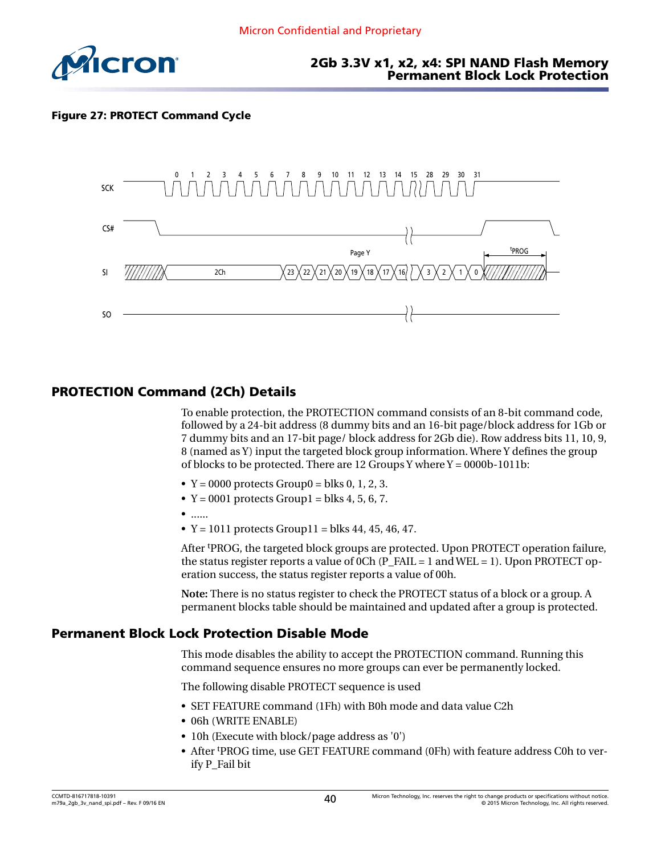<span id="page-39-0"></span>

#### 2Gb 3.3V x1, x2, x4: SPI NAND Flash Memory Permanent Block Lock Protection

#### Figure 27: PROTECT Command Cycle



### PROTECTION Command (2Ch) Details

To enable protection, the PROTECTION command consists of an 8-bit command code, followed by a 24-bit address (8 dummy bits and an 16-bit page/block address for 1Gb or 7 dummy bits and an 17-bit page/ block address for 2Gb die). Row address bits 11, 10, 9, 8 (named as Y) input the targeted block group information. Where Y defines the group of blocks to be protected. There are 12 Groups Y where  $Y = 0000b-1011b$ :

- $Y = 0000$  protects Group0 = blks 0, 1, 2, 3.
- $Y = 0001$  protects Group1 = blks 4, 5, 6, 7.
- ......
- $Y = 1011$  protects Group11 = blks 44, 45, 46, 47.

After tPROG, the targeted block groups are protected. Upon PROTECT operation failure, the status register reports a value of 0Ch (P\_FAIL = 1 and WEL = 1). Upon PROTECT operation success, the status register reports a value of 00h.

**Note:** There is no status register to check the PROTECT status of a block or a group. A permanent blocks table should be maintained and updated after a group is protected.

#### Permanent Block Lock Protection Disable Mode

This mode disables the ability to accept the PROTECTION command. Running this command sequence ensures no more groups can ever be permanently locked.

The following disable PROTECT sequence is used

- SET FEATURE command (1Fh) with B0h mode and data value C2h
- 06h (WRITE ENABLE)
- 10h (Execute with block/page address as '0')
- After tPROG time, use GET FEATURE command (0Fh) with feature address C0h to verify P\_Fail bit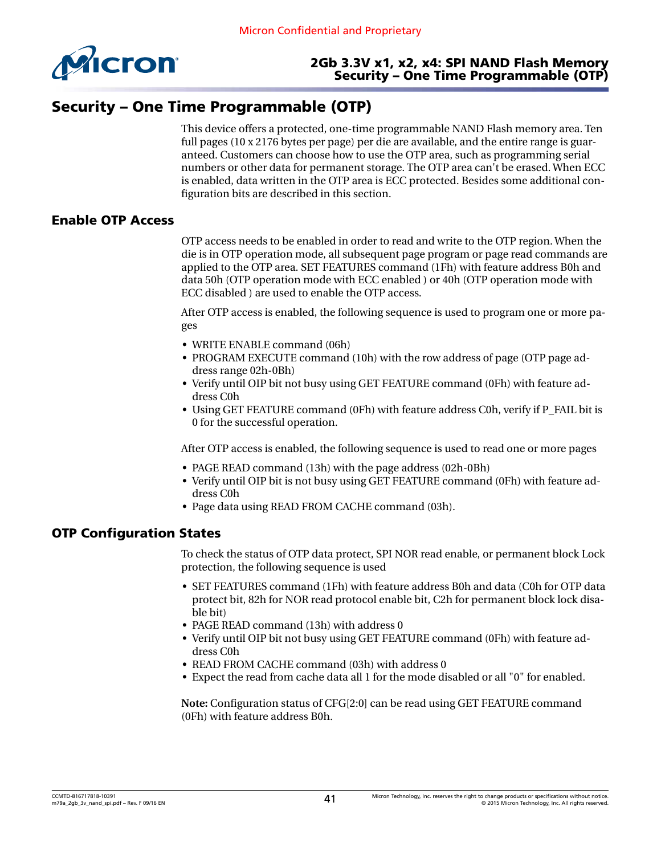<span id="page-40-0"></span>

#### 2Gb 3.3V x1, x2, x4: SPI NAND Flash Memory Security – One Time Programmable (OTP)

# Security – One Time Programmable (OTP)

This device offers a protected, one-time programmable NAND Flash memory area. Ten full pages (10 x 2176 bytes per page) per die are available, and the entire range is guaranteed. Customers can choose how to use the OTP area, such as programming serial numbers or other data for permanent storage. The OTP area can't be erased. When ECC is enabled, data written in the OTP area is ECC protected. Besides some additional configuration bits are described in this section.

### Enable OTP Access

OTP access needs to be enabled in order to read and write to the OTP region. When the die is in OTP operation mode, all subsequent page program or page read commands are applied to the OTP area. SET FEATURES command (1Fh) with feature address B0h and data 50h (OTP operation mode with ECC enabled ) or 40h (OTP operation mode with ECC disabled ) are used to enable the OTP access.

After OTP access is enabled, the following sequence is used to program one or more pages

- WRITE ENABLE command (06h)
- PROGRAM EXECUTE command (10h) with the row address of page (OTP page address range 02h-0Bh)
- Verify until OIP bit not busy using GET FEATURE command (0Fh) with feature address C0h
- Using GET FEATURE command (0Fh) with feature address C0h, verify if P\_FAIL bit is 0 for the successful operation.

After OTP access is enabled, the following sequence is used to read one or more pages

- PAGE READ command (13h) with the page address (02h-0Bh)
- Verify until OIP bit is not busy using GET FEATURE command (0Fh) with feature address C0h
- Page data using READ FROM CACHE command (03h).

### OTP Configuration States

To check the status of OTP data protect, SPI NOR read enable, or permanent block Lock protection, the following sequence is used

- SET FEATURES command (1Fh) with feature address B0h and data (C0h for OTP data protect bit, 82h for NOR read protocol enable bit, C2h for permanent block lock disable bit)
- PAGE READ command (13h) with address 0
- Verify until OIP bit not busy using GET FEATURE command (0Fh) with feature address C0h
- READ FROM CACHE command (03h) with address 0
- Expect the read from cache data all 1 for the mode disabled or all "0" for enabled.

**Note:** Configuration status of CFG[2:0] can be read using GET FEATURE command (0Fh) with feature address B0h.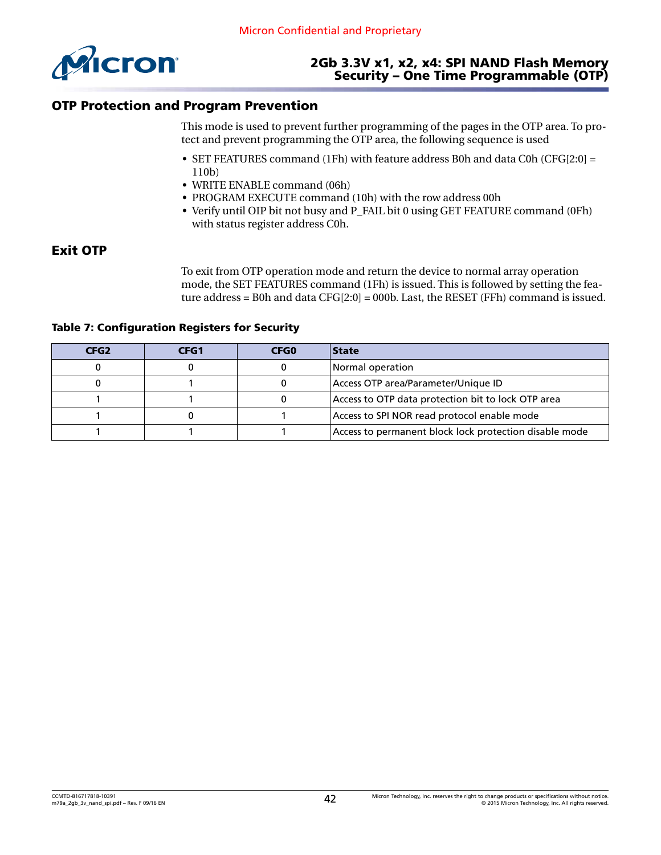<span id="page-41-0"></span>

#### 2Gb 3.3V x1, x2, x4: SPI NAND Flash Memory Security – One Time Programmable (OTP)

### OTP Protection and Program Prevention

This mode is used to prevent further programming of the pages in the OTP area. To protect and prevent programming the OTP area, the following sequence is used

- SET FEATURES command (1Fh) with feature address B0h and data C0h (CFG[2:0]  $=$ 110b)
- WRITE ENABLE command (06h)
- PROGRAM EXECUTE command (10h) with the row address 00h
- Verify until OIP bit not busy and P\_FAIL bit 0 using GET FEATURE command (0Fh) with status register address C0h.

#### Exit OTP

To exit from OTP operation mode and return the device to normal array operation mode, the SET FEATURES command (1Fh) is issued. This is followed by setting the feature address = B0h and data CFG[2:0] = 000b. Last, the RESET (FFh) command is issued.

|  |  | <b>Table 7: Configuration Registers for Security</b> |  |  |  |
|--|--|------------------------------------------------------|--|--|--|
|--|--|------------------------------------------------------|--|--|--|

| CFG <sub>2</sub> | CFG1 | <b>CFG0</b> | <b>State</b>                                           |
|------------------|------|-------------|--------------------------------------------------------|
|                  |      |             | Normal operation                                       |
|                  |      |             | Access OTP area/Parameter/Unique ID                    |
|                  |      |             | Access to OTP data protection bit to lock OTP area     |
|                  |      |             | Access to SPI NOR read protocol enable mode            |
|                  |      |             | Access to permanent block lock protection disable mode |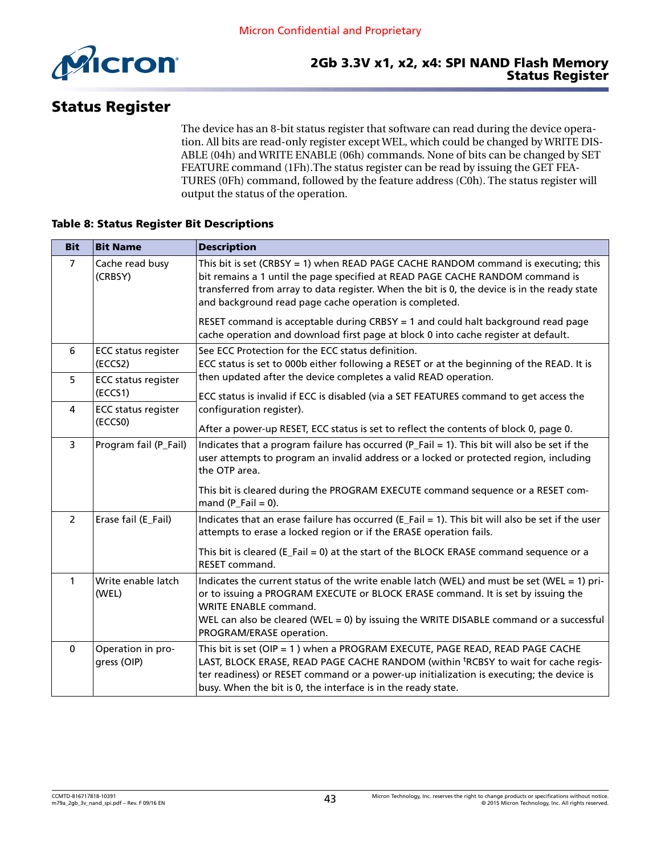<span id="page-42-0"></span>

# Status Register

The device has an 8-bit status register that software can read during the device operation. All bits are read-only register except WEL, which could be changed by WRITE DIS-ABLE (04h) and WRITE ENABLE (06h) commands. None of bits can be changed by SET FEATURE command (1Fh).The status register can be read by issuing the GET FEA-TURES (0Fh) command, followed by the feature address (C0h). The status register will output the status of the operation.

#### Table 8: Status Register Bit Descriptions

| <b>Bit</b>               | <b>Bit Name</b>                       | <b>Description</b>                                                                                                                                                                                                                                                                                                                         |
|--------------------------|---------------------------------------|--------------------------------------------------------------------------------------------------------------------------------------------------------------------------------------------------------------------------------------------------------------------------------------------------------------------------------------------|
| $\overline{7}$           | Cache read busy<br>(CRBSY)            | This bit is set (CRBSY = 1) when READ PAGE CACHE RANDOM command is executing; this<br>bit remains a 1 until the page specified at READ PAGE CACHE RANDOM command is<br>transferred from array to data register. When the bit is 0, the device is in the ready state<br>and background read page cache operation is completed.              |
|                          |                                       | RESET command is acceptable during CRBSY = 1 and could halt background read page<br>cache operation and download first page at block 0 into cache register at default.                                                                                                                                                                     |
| 6                        | <b>ECC status register</b><br>(ECCS2) | See ECC Protection for the ECC status definition.<br>ECC status is set to 000b either following a RESET or at the beginning of the READ. It is                                                                                                                                                                                             |
| 5                        | <b>ECC status register</b><br>(ECCS1) | then updated after the device completes a valid READ operation.<br>ECC status is invalid if ECC is disabled (via a SET FEATURES command to get access the                                                                                                                                                                                  |
| 4                        | <b>ECC status register</b><br>(ECCSO) | configuration register).<br>After a power-up RESET, ECC status is set to reflect the contents of block 0, page 0.                                                                                                                                                                                                                          |
| 3                        | Program fail (P_Fail)                 | Indicates that a program failure has occurred (P_Fail = 1). This bit will also be set if the<br>user attempts to program an invalid address or a locked or protected region, including<br>the OTP area.<br>This bit is cleared during the PROGRAM EXECUTE command sequence or a RESET com-<br>mand $(P_Fail = 0)$ .                        |
| $\overline{\phantom{a}}$ | Erase fail (E_Fail)                   | Indicates that an erase failure has occurred ( $E$ _Fail = 1). This bit will also be set if the user<br>attempts to erase a locked region or if the ERASE operation fails.                                                                                                                                                                 |
|                          |                                       | This bit is cleared ( $E$ _Fail = 0) at the start of the BLOCK ERASE command sequence or a<br><b>RESET command.</b>                                                                                                                                                                                                                        |
| $\mathbf{1}$             | Write enable latch<br>(WEL)           | Indicates the current status of the write enable latch (WEL) and must be set (WEL = 1) pri-<br>or to issuing a PROGRAM EXECUTE or BLOCK ERASE command. It is set by issuing the<br><b>WRITE ENABLE command.</b><br>WEL can also be cleared (WEL = 0) by issuing the WRITE DISABLE command or a successful<br>PROGRAM/ERASE operation.      |
| $\Omega$                 | Operation in pro-<br>gress (OIP)      | This bit is set (OIP = 1) when a PROGRAM EXECUTE, PAGE READ, READ PAGE CACHE<br>LAST, BLOCK ERASE, READ PAGE CACHE RANDOM (within <sup>t</sup> RCBSY to wait for cache regis-<br>ter readiness) or RESET command or a power-up initialization is executing; the device is<br>busy. When the bit is 0, the interface is in the ready state. |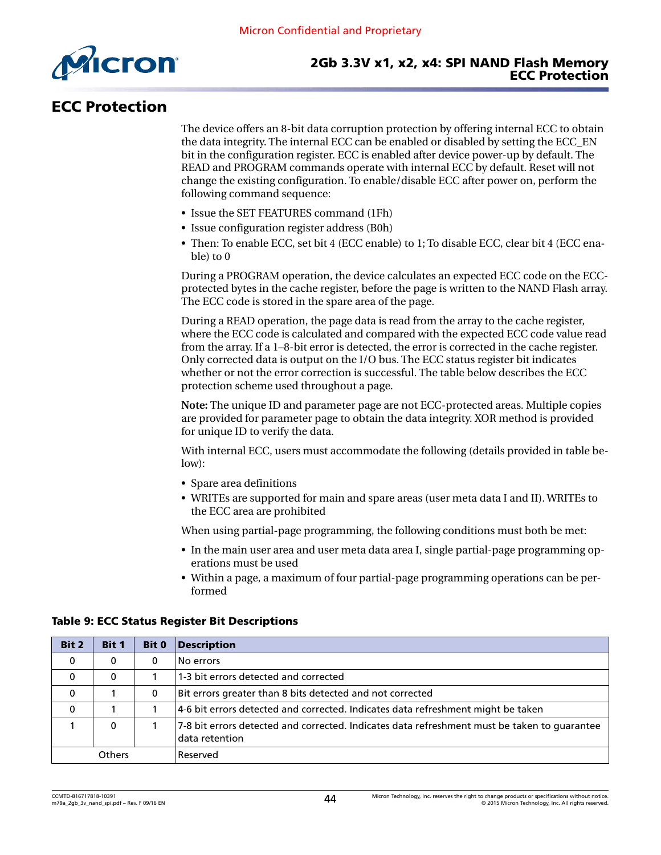<span id="page-43-0"></span>

# ECC Protection

The device offers an 8-bit data corruption protection by offering internal ECC to obtain the data integrity. The internal ECC can be enabled or disabled by setting the ECC\_EN bit in the configuration register. ECC is enabled after device power-up by default. The READ and PROGRAM commands operate with internal ECC by default. Reset will not change the existing configuration. To enable/disable ECC after power on, perform the following command sequence:

- Issue the SET FEATURES command (1Fh)
- Issue configuration register address (B0h)
- Then: To enable ECC, set bit 4 (ECC enable) to 1; To disable ECC, clear bit 4 (ECC enable) to 0

During a PROGRAM operation, the device calculates an expected ECC code on the ECCprotected bytes in the cache register, before the page is written to the NAND Flash array. The ECC code is stored in the spare area of the page.

During a READ operation, the page data is read from the array to the cache register, where the ECC code is calculated and compared with the expected ECC code value read from the array. If a 1–8-bit error is detected, the error is corrected in the cache register. Only corrected data is output on the I/O bus. The ECC status register bit indicates whether or not the error correction is successful. The table below describes the ECC protection scheme used throughout a page.

**Note:** The unique ID and parameter page are not ECC-protected areas. Multiple copies are provided for parameter page to obtain the data integrity. XOR method is provided for unique ID to verify the data.

With internal ECC, users must accommodate the following (details provided in table below):

- Spare area definitions
- WRITEs are supported for main and spare areas (user meta data I and II). WRITEs to the ECC area are prohibited

When using partial-page programming, the following conditions must both be met:

- In the main user area and user meta data area I, single partial-page programming operations must be used
- Within a page, a maximum of four partial-page programming operations can be performed

# Bit 2 | Bit 1 | Bit 0 | Description 0 0 0 No errors 0 0 1 1-3 bit errors detected and corrected  $\begin{array}{|c|c|c|c|c|}\n\hline\n0 & 1 & 0 & \text{Bit errors greater than 8 bits detected and not corrected}\n\end{array}$  $\begin{array}{|c|c|c|c|c|c|c|c|c|} \hline 1 & 1 & 4-6 \text{ bit errors detected and corrected. Indicates data refreshment might be taken} \hline \end{array}$ 1 0 1 7-8 bit errors detected and corrected. Indicates data refreshment must be taken to guarantee data retention Others Reserved

#### Table 9: ECC Status Register Bit Descriptions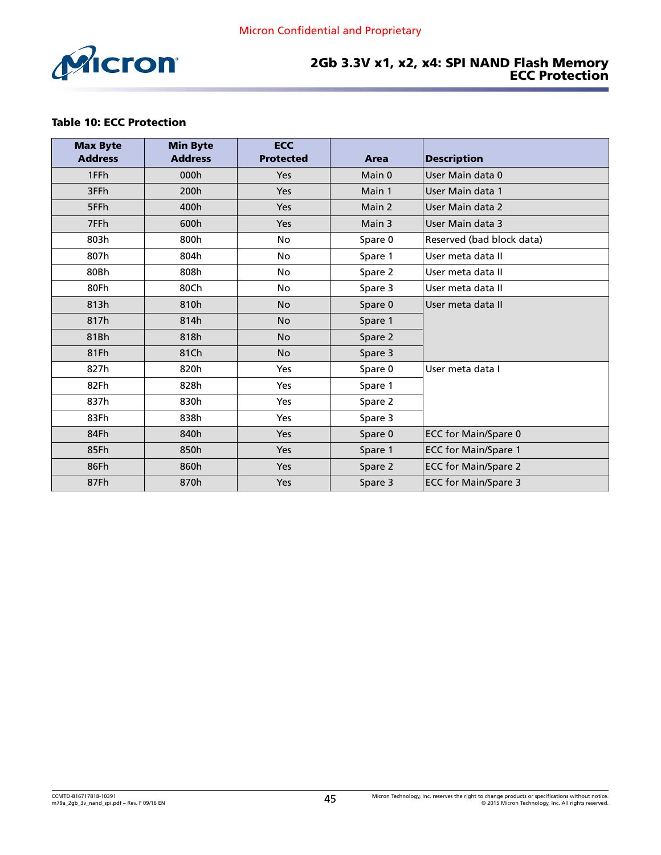<span id="page-44-0"></span>

#### 2Gb 3.3V x1, x2, x4: SPI NAND Flash Memory ECC Protection

#### Table 10: ECC Protection

| <b>Max Byte</b><br><b>Address</b> | <b>Min Byte</b><br><b>Address</b> | <b>ECC</b><br><b>Protected</b> | Area    | <b>Description</b>          |
|-----------------------------------|-----------------------------------|--------------------------------|---------|-----------------------------|
| 1FFh                              | 000h                              | Yes                            | Main 0  | User Main data 0            |
| 3FFh                              | 200h                              | Yes                            | Main 1  | User Main data 1            |
| 5FFh                              | 400h                              | <b>Yes</b>                     | Main 2  | User Main data 2            |
| 7FFh                              | 600h                              | Yes                            | Main 3  | User Main data 3            |
| 803h                              | 800h                              | <b>No</b>                      | Spare 0 | Reserved (bad block data)   |
| 807h                              | 804h                              | <b>No</b>                      | Spare 1 | User meta data II           |
| 80Bh                              | 808h                              | No                             | Spare 2 | User meta data II           |
| 80Fh                              | 80Ch                              | <b>No</b>                      | Spare 3 | User meta data II           |
| 813h                              | 810h                              | <b>No</b>                      | Spare 0 | User meta data II           |
| 817h                              | 814h                              | <b>No</b>                      | Spare 1 |                             |
| 81Bh                              | 818h                              | <b>No</b>                      | Spare 2 |                             |
| 81Fh                              | 81Ch                              | <b>No</b>                      | Spare 3 |                             |
| 827h                              | 820h                              | Yes                            | Spare 0 | User meta data I            |
| 82Fh                              | 828h                              | <b>Yes</b>                     | Spare 1 |                             |
| 837h                              | 830h                              | Yes                            | Spare 2 |                             |
| 83Fh                              | 838h                              | Yes                            | Spare 3 |                             |
| 84Fh                              | 840h                              | <b>Yes</b>                     | Spare 0 | <b>ECC for Main/Spare 0</b> |
| 85Fh                              | 850h                              | Yes                            | Spare 1 | <b>ECC for Main/Spare 1</b> |
| 86Fh                              | 860h                              | Yes                            | Spare 2 | <b>ECC for Main/Spare 2</b> |
| 87Fh                              | 870h                              | Yes                            | Spare 3 | <b>ECC for Main/Spare 3</b> |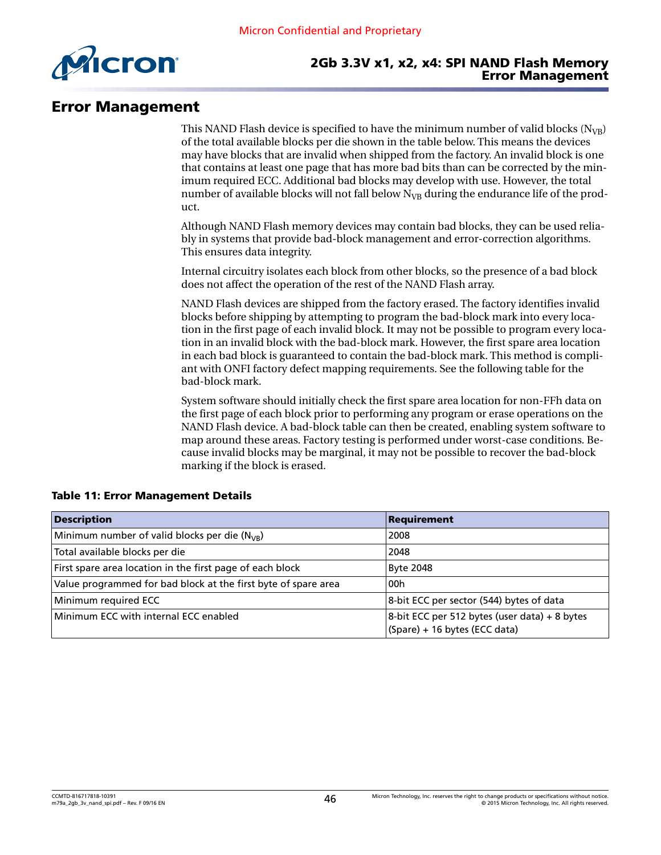<span id="page-45-0"></span>

#### 2Gb 3.3V x1, x2, x4: SPI NAND Flash Memory Error Management

### Error Management

This NAND Flash device is specified to have the minimum number of valid blocks ( $N_{VB}$ ) of the total available blocks per die shown in the table below. This means the devices may have blocks that are invalid when shipped from the factory. An invalid block is one that contains at least one page that has more bad bits than can be corrected by the minimum required ECC. Additional bad blocks may develop with use. However, the total number of available blocks will not fall below  $N_{VR}$  during the endurance life of the product.

Although NAND Flash memory devices may contain bad blocks, they can be used reliably in systems that provide bad-block management and error-correction algorithms. This ensures data integrity.

Internal circuitry isolates each block from other blocks, so the presence of a bad block does not affect the operation of the rest of the NAND Flash array.

NAND Flash devices are shipped from the factory erased. The factory identifies invalid blocks before shipping by attempting to program the bad-block mark into every location in the first page of each invalid block. It may not be possible to program every location in an invalid block with the bad-block mark. However, the first spare area location in each bad block is guaranteed to contain the bad-block mark. This method is compliant with ONFI factory defect mapping requirements. See the following table for the bad-block mark.

System software should initially check the first spare area location for non-FFh data on the first page of each block prior to performing any program or erase operations on the NAND Flash device. A bad-block table can then be created, enabling system software to map around these areas. Factory testing is performed under worst-case conditions. Because invalid blocks may be marginal, it may not be possible to recover the bad-block marking if the block is erased.

| <b>Description</b>                                             | Requirement                                                                       |
|----------------------------------------------------------------|-----------------------------------------------------------------------------------|
| Minimum number of valid blocks per die ( $N_{VB}$ )            | 2008                                                                              |
| Total available blocks per die                                 | 2048                                                                              |
| First spare area location in the first page of each block      | <b>Byte 2048</b>                                                                  |
| Value programmed for bad block at the first byte of spare area | 00h                                                                               |
| Minimum required ECC                                           | 8-bit ECC per sector (544) bytes of data                                          |
| Minimum ECC with internal ECC enabled                          | $8$ -bit ECC per 512 bytes (user data) + 8 bytes<br>(Spare) + 16 bytes (ECC data) |

#### Table 11: Error Management Details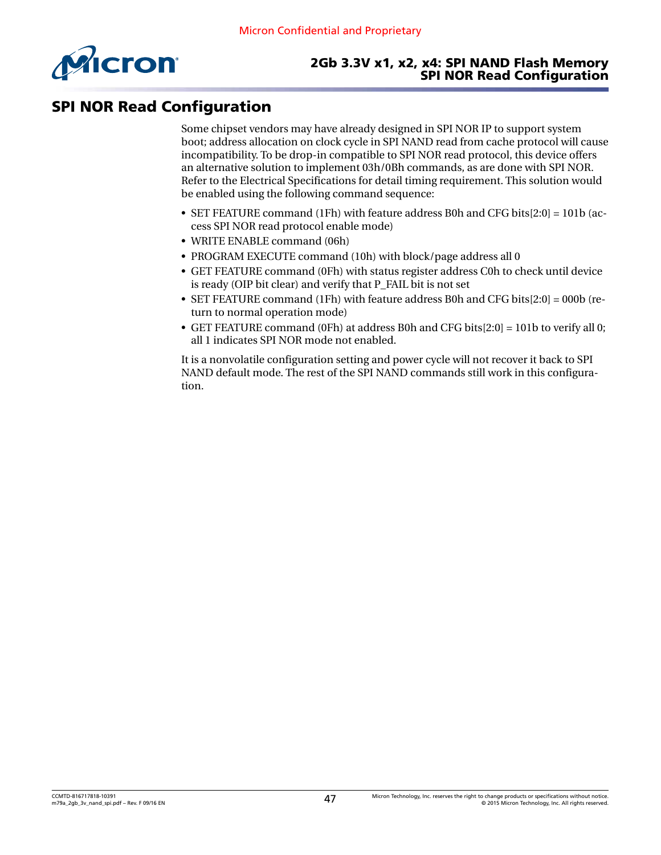<span id="page-46-0"></span>

#### 2Gb 3.3V x1, x2, x4: SPI NAND Flash Memory SPI NOR Read Configuration

# SPI NOR Read Configuration

Some chipset vendors may have already designed in SPI NOR IP to support system boot; address allocation on clock cycle in SPI NAND read from cache protocol will cause incompatibility. To be drop-in compatible to SPI NOR read protocol, this device offers an alternative solution to implement 03h/0Bh commands, as are done with SPI NOR. Refer to the Electrical Specifications for detail timing requirement. This solution would be enabled using the following command sequence:

- SET FEATURE command (1Fh) with feature address B0h and CFG bits[2:0] = 101b (access SPI NOR read protocol enable mode)
- WRITE ENABLE command (06h)
- PROGRAM EXECUTE command (10h) with block/page address all 0
- GET FEATURE command (0Fh) with status register address C0h to check until device is ready (OIP bit clear) and verify that P\_FAIL bit is not set
- SET FEATURE command (1Fh) with feature address B0h and CFG bits[2:0] = 000b (return to normal operation mode)
- GET FEATURE command (0Fh) at address B0h and CFG bits[2:0] = 101b to verify all 0; all 1 indicates SPI NOR mode not enabled.

It is a nonvolatile configuration setting and power cycle will not recover it back to SPI NAND default mode. The rest of the SPI NAND commands still work in this configuration.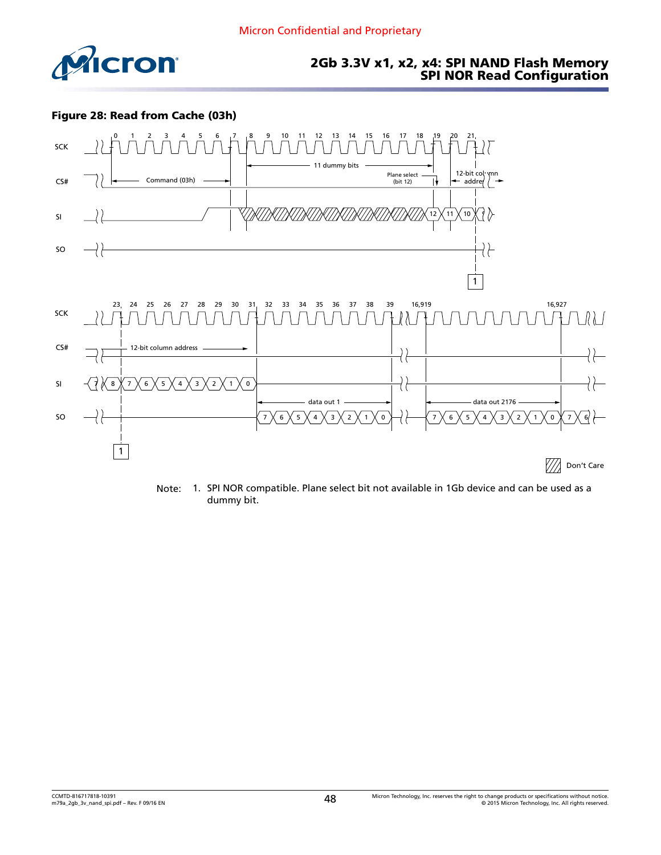<span id="page-47-0"></span>

#### 2Gb 3.3V x1, x2, x4: SPI NAND Flash Memory SPI NOR Read Configuration

#### Figure 28: Read from Cache (03h)



Note: 1. SPI NOR compatible. Plane select bit not available in 1Gb device and can be used as a dummy bit.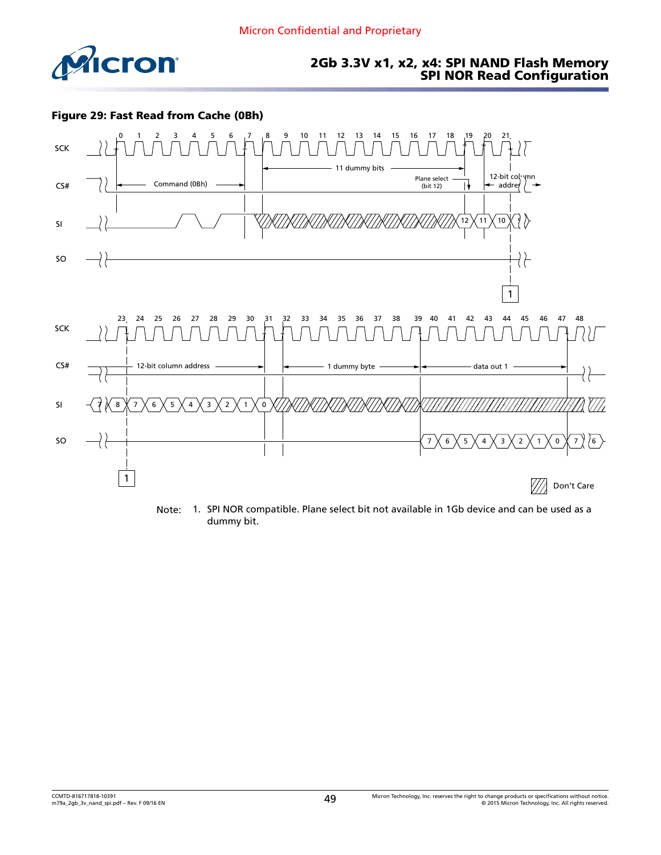<span id="page-48-0"></span>

### 2Gb 3.3V x1, x2, x4: SPI NAND Flash Memory SPI NOR Read Configuration

#### Figure 29: Fast Read from Cache (0Bh)



Note: 1. SPI NOR compatible. Plane select bit not available in 1Gb device and can be used as a dummy bit.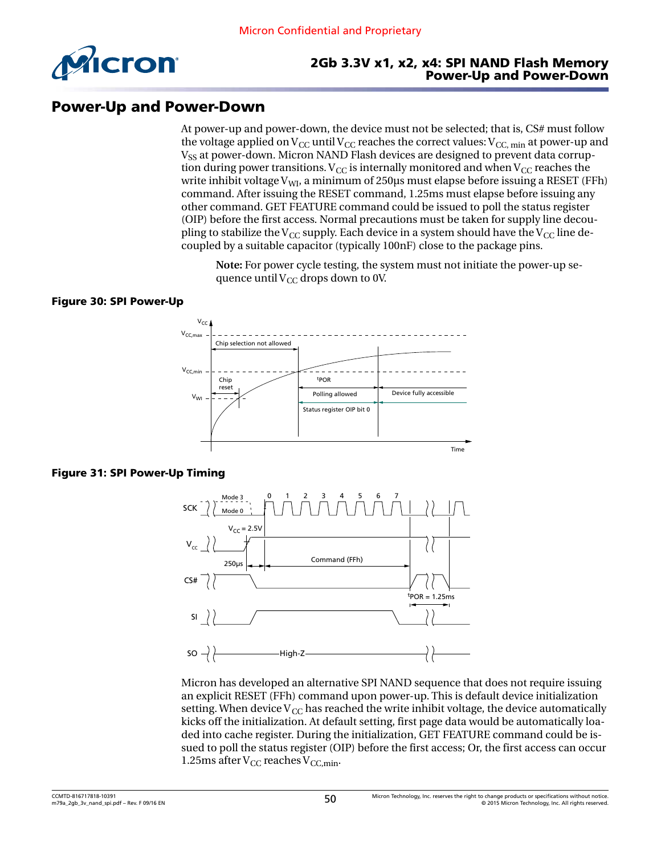<span id="page-49-0"></span>

#### 2Gb 3.3V x1, x2, x4: SPI NAND Flash Memory Power-Up and Power-Down

## Power-Up and Power-Down

At power-up and power-down, the device must not be selected; that is, CS# must follow the voltage applied on  $V_{CC}$  until  $V_{CC}$  reaches the correct values:  $V_{CC}$ , min at power-up and V<sub>SS</sub> at power-down. Micron NAND Flash devices are designed to prevent data corruption during power transitions.  $V_{CC}$  is internally monitored and when  $V_{CC}$  reaches the write inhibit voltage  $V_{\text{WI}}$ , a minimum of 250 µs must elapse before issuing a RESET (FFh) command. After issuing the RESET command, 1.25ms must elapse before issuing any other command. GET FEATURE command could be issued to poll the status register (OIP) before the first access. Normal precautions must be taken for supply line decoupling to stabilize the V<sub>CC</sub> supply. Each device in a system should have the V<sub>CC</sub> line decoupled by a suitable capacitor (typically 100nF) close to the package pins.

**Note:** For power cycle testing, the system must not initiate the power-up sequence until  $V_{CC}$  drops down to 0V.

#### Figure 30: SPI Power-Up



#### Figure 31: SPI Power-Up Timing



Micron has developed an alternative SPI NAND sequence that does not require issuing an explicit RESET (FFh) command upon power-up. This is default device initialization setting. When device  $V_{\rm CC}$  has reached the write inhibit voltage, the device automatically kicks off the initialization. At default setting, first page data would be automatically loaded into cache register. During the initialization, GET FEATURE command could be issued to poll the status register (OIP) before the first access; Or, the first access can occur 1.25ms after  $V_{CC}$  reaches  $V_{CC,min}$ .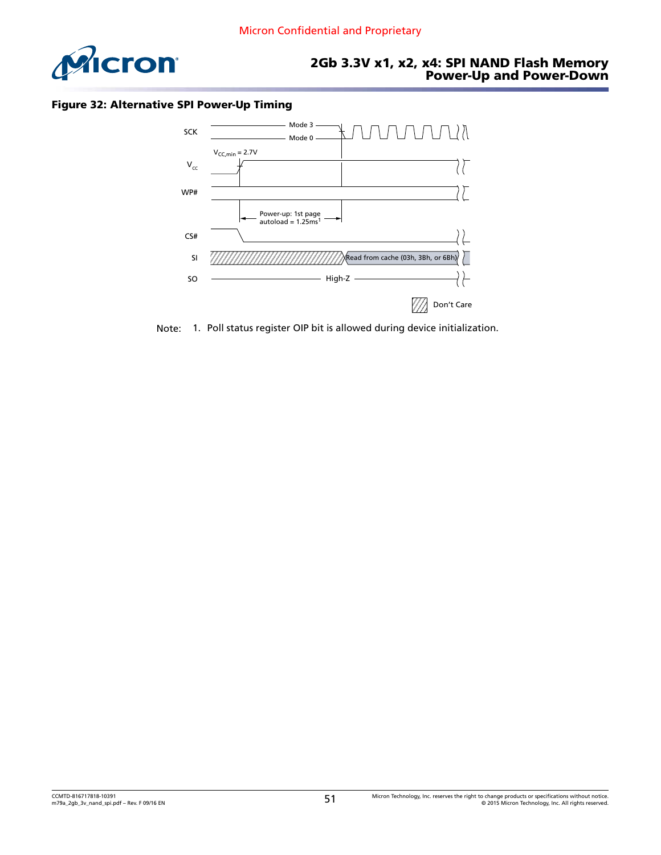<span id="page-50-0"></span>

### 2Gb 3.3V x1, x2, x4: SPI NAND Flash Memory Power-Up and Power-Down

#### Figure 32: Alternative SPI Power-Up Timing



Note: 1. Poll status register OIP bit is allowed during device initialization.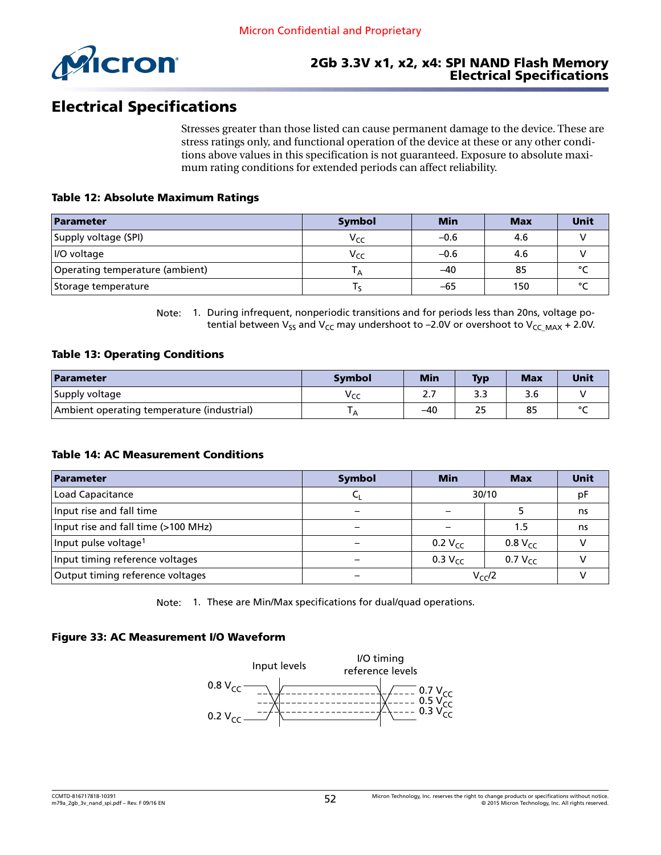<span id="page-51-0"></span>

# Electrical Specifications

Stresses greater than those listed can cause permanent damage to the device. These are stress ratings only, and functional operation of the device at these or any other conditions above values in this specification is not guaranteed. Exposure to absolute maximum rating conditions for extended periods can affect reliability.

#### Table 12: Absolute Maximum Ratings

| Parameter                       | <b>Symbol</b>   | <b>Min</b> | <b>Max</b> | Unit   |
|---------------------------------|-----------------|------------|------------|--------|
| Supply voltage (SPI)            | V <sub>CC</sub> | $-0.6$     | 4.6        |        |
| <i>II</i> O voltage             | Vcc             | $-0.6$     | 4.6        |        |
| Operating temperature (ambient) |                 | -40        | 85         |        |
| Storage temperature             |                 | -65        | 150        | $\sim$ |

Note: 1. During infrequent, nonperiodic transitions and for periods less than 20ns, voltage potential between V<sub>SS</sub> and V<sub>CC</sub> may undershoot to -2.0V or overshoot to V<sub>CC MAX</sub> + 2.0V.

#### Table 13: Operating Conditions

| Parameter                                  | Symbol         | <b>Min</b> | <b>Typ</b> | <b>Max</b> | Unit |
|--------------------------------------------|----------------|------------|------------|------------|------|
| Supply voltage                             | Vcc            | ۷.,        | د.د        |            |      |
| Ambient operating temperature (industrial) | $\overline{A}$ | -40        | 25         | 85         |      |

#### Table 14: AC Measurement Conditions

| Parameter                           | <b>Symbol</b> | <b>Min</b>   | <b>Max</b>   | Unit |
|-------------------------------------|---------------|--------------|--------------|------|
| Load Capacitance                    |               | 30/10        |              | рF   |
| Input rise and fall time            |               |              |              | ns   |
| Input rise and fall time (>100 MHz) |               |              | 1.5          | ns   |
| Input pulse voltage <sup>1</sup>    |               | 0.2 $V_{cc}$ | $0.8 V_{CC}$ |      |
| Input timing reference voltages     |               | 0.3 $V_{cc}$ | 0.7 $V_{cc}$ |      |
| Output timing reference voltages    |               |              | $V_{CC}/2$   |      |

Note: 1. These are Min/Max specifications for dual/quad operations.

#### Figure 33: AC Measurement I/O Waveform

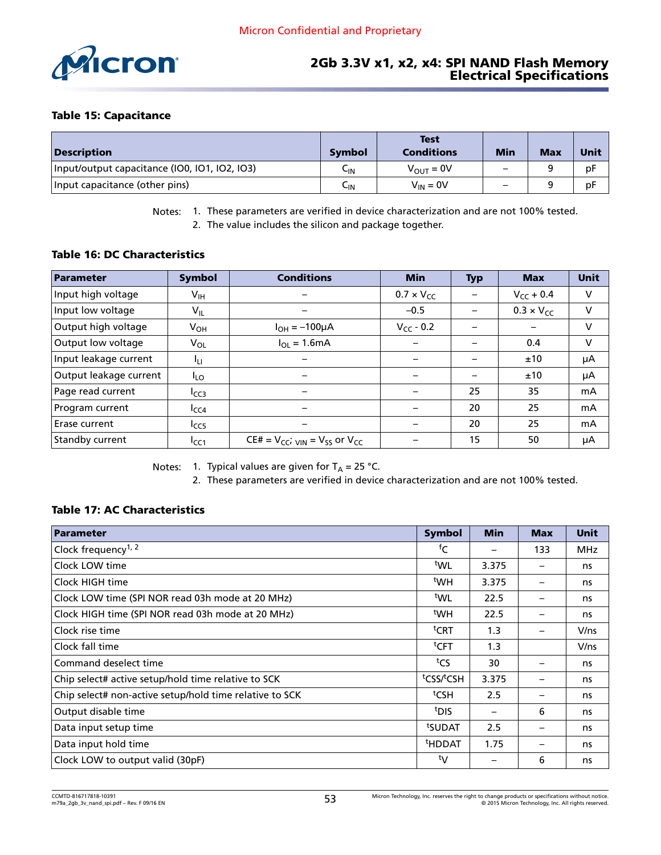<span id="page-52-0"></span>

#### Table 15: Capacitance

| <b>Description</b>                            | <b>Symbol</b> | <b>Test</b><br><b>Conditions</b> | <b>Min</b>               | <b>Max</b> | <b>Unit</b> |
|-----------------------------------------------|---------------|----------------------------------|--------------------------|------------|-------------|
| Input/output capacitance (IO0, IO1, IO2, IO3) | ետ            | $V_{OUT} = 0V$                   | $\overline{\phantom{0}}$ |            | pF          |
| Input capacitance (other pins)                | └IN           | $V_{IN} = 0V$                    | $\overline{\phantom{0}}$ |            | pF          |

Notes: 1. These parameters are verified in device characterization and are not 100% tested.

2. The value includes the silicon and package together.

#### Table 16: DC Characteristics

| Parameter              | <b>Symbol</b>              | <b>Conditions</b>                              | <b>Min</b>          | <b>Typ</b> | <b>Max</b>          | <b>Unit</b> |
|------------------------|----------------------------|------------------------------------------------|---------------------|------------|---------------------|-------------|
| Input high voltage     | $\mathsf{V}_{\mathsf{IH}}$ |                                                | $0.7 \times V_{CC}$ |            | $V_{CC}$ + 0.4      | V           |
| Input low voltage      | $V_{IL}$                   |                                                | $-0.5$              |            | $0.3 \times V_{CC}$ | V           |
| Output high voltage    | $V_{OH}$                   | $I_{OH} = -100 \mu A$                          | $V_{CC}$ - 0.2      |            |                     | V           |
| Output low voltage     | V <sub>OL</sub>            | $I_{OL} = 1.6mA$                               |                     |            | 0.4                 | V           |
| Input leakage current  | ĪЦ                         |                                                |                     |            | ±10                 | μA          |
| Output leakage current | $I_{LO}$                   |                                                |                     |            | ±10                 | μA          |
| Page read current      | I <sub>ССЗ</sub>           |                                                |                     | 25         | 35                  | mA          |
| Program current        | $I_{CC4}$                  |                                                |                     | 20         | 25                  | mA          |
| Erase current          | I <sub>CC5</sub>           |                                                |                     | 20         | 25                  | mA          |
| Standby current        | $I_{CC1}$                  | $CE# = V_{CC}$ ; $_{VIN} = V_{SS}$ or $V_{CC}$ |                     | 15         | 50                  | μA          |

Notes: 1. Typical values are given for  $T_A = 25$  °C.

2. These parameters are verified in device characterization and are not 100% tested.

#### Table 17: AC Characteristics

| Parameter                                               | <b>Symbol</b>       | <b>Min</b> | <b>Max</b> | <b>Unit</b> |
|---------------------------------------------------------|---------------------|------------|------------|-------------|
| Clock frequency <sup>1, 2</sup>                         | fC                  |            | 133        | MHz         |
| Clock LOW time                                          | twl                 | 3.375      |            | ns          |
| Clock HIGH time                                         | <sup>t</sup> WH     | 3.375      |            | ns          |
| Clock LOW time (SPI NOR read 03h mode at 20 MHz)        | twl                 | 22.5       |            | ns          |
| Clock HIGH time (SPI NOR read 03h mode at 20 MHz)       | <sup>t</sup> WH     | 22.5       |            | ns          |
| Clock rise time                                         | <sup>t</sup> CRT    | 1.3        |            | V/ns        |
| Clock fall time                                         | ${}^{\text{t}}$ CFT | 1.3        |            | V/ns        |
| Command deselect time                                   | tcs                 | 30         |            | ns          |
| Chip select# active setup/hold time relative to SCK     | tCSS/tCSH           | 3.375      |            | ns          |
| Chip select# non-active setup/hold time relative to SCK | $t$ CSH             | 2.5        |            | ns          |
| Output disable time                                     | <sup>t</sup> DIS    |            | 6          | ns          |
| Data input setup time                                   | tsupat              | 2.5        |            | ns          |
| Data input hold time                                    | <sup>t</sup> HDDAT  | 1.75       |            | ns          |
| Clock LOW to output valid (30pF)                        | ty                  |            | 6          | ns          |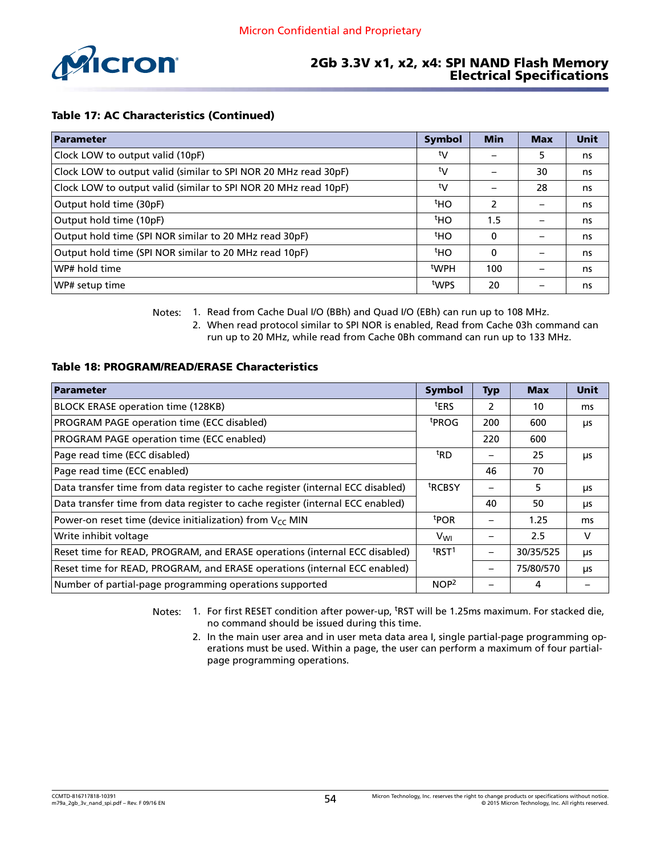<span id="page-53-0"></span>

#### Table 17: AC Characteristics (Continued)

| Parameter                                                       | <b>Symbol</b>   | <b>Min</b>    | <b>Max</b> | <b>Unit</b> |
|-----------------------------------------------------------------|-----------------|---------------|------------|-------------|
| Clock LOW to output valid (10pF)                                | ty              |               | 5          | ns          |
| Clock LOW to output valid (similar to SPI NOR 20 MHz read 30pF) | ty              |               | 30         | ns          |
| Clock LOW to output valid (similar to SPI NOR 20 MHz read 10pF) | ty              |               | 28         | ns          |
| Output hold time (30pF)                                         | <sup>t</sup> HO | $\mathcal{P}$ |            | ns          |
| Output hold time (10pF)                                         | <sup>t</sup> HO | 1.5           |            | ns          |
| Output hold time (SPI NOR similar to 20 MHz read 30pF)          | <sup>t</sup> HO | 0             |            | ns          |
| Output hold time (SPI NOR similar to 20 MHz read 10pF)          | <sup>t</sup> HO | $\Omega$      |            | ns          |
| WP# hold time                                                   | tWPH            | 100           |            | ns          |
| WP# setup time                                                  | twps            | 20            |            | ns          |

Notes: 1. Read from Cache Dual I/O (BBh) and Quad I/O (EBh) can run up to 108 MHz.

2. When read protocol similar to SPI NOR is enabled, Read from Cache 03h command can run up to 20 MHz, while read from Cache 0Bh command can run up to 133 MHz.

#### Table 18: PROGRAM/READ/ERASE Characteristics

| <b>Parameter</b>                                                                                      | <b>Symbol</b>     | <b>Typ</b> | <b>Max</b> | <b>Unit</b> |
|-------------------------------------------------------------------------------------------------------|-------------------|------------|------------|-------------|
| BLOCK ERASE operation time (128KB)                                                                    | <sup>t</sup> ERS  | 2          | 10         | ms          |
| PROGRAM PAGE operation time (ECC disabled)                                                            |                   | 200        | 600        | μs          |
| PROGRAM PAGE operation time (ECC enabled)                                                             |                   | 220        | 600        |             |
| <sup>t</sup> RD<br>Page read time (ECC disabled)<br>25                                                |                   | μs         |            |             |
| Page read time (ECC enabled)                                                                          |                   | 46         | 70         |             |
| <sup>t</sup> RCBSY<br>Data transfer time from data register to cache register (internal ECC disabled) |                   |            | 5          | μs          |
| Data transfer time from data register to cache register (internal ECC enabled)                        |                   | 40         | 50         | μs          |
| Power-on reset time (device initialization) from $V_{CC}$ MIN                                         | <sup>t</sup> POR  |            | 1.25       | ms          |
| Write inhibit voltage                                                                                 | V <sub>WI</sub>   |            | 2.5        | V           |
| Reset time for READ, PROGRAM, and ERASE operations (internal ECC disabled)                            | t <sub>RST1</sub> |            | 30/35/525  | μs          |
| Reset time for READ, PROGRAM, and ERASE operations (internal ECC enabled)                             |                   |            | 75/80/570  | μs          |
| Number of partial-page programming operations supported                                               | NOP <sup>2</sup>  |            | 4          |             |

Notes: 1. For first RESET condition after power-up, <sup>t</sup>RST will be 1.25ms maximum. For stacked die, no command should be issued during this time.

2. In the main user area and in user meta data area I, single partial-page programming operations must be used. Within a page, the user can perform a maximum of four partialpage programming operations.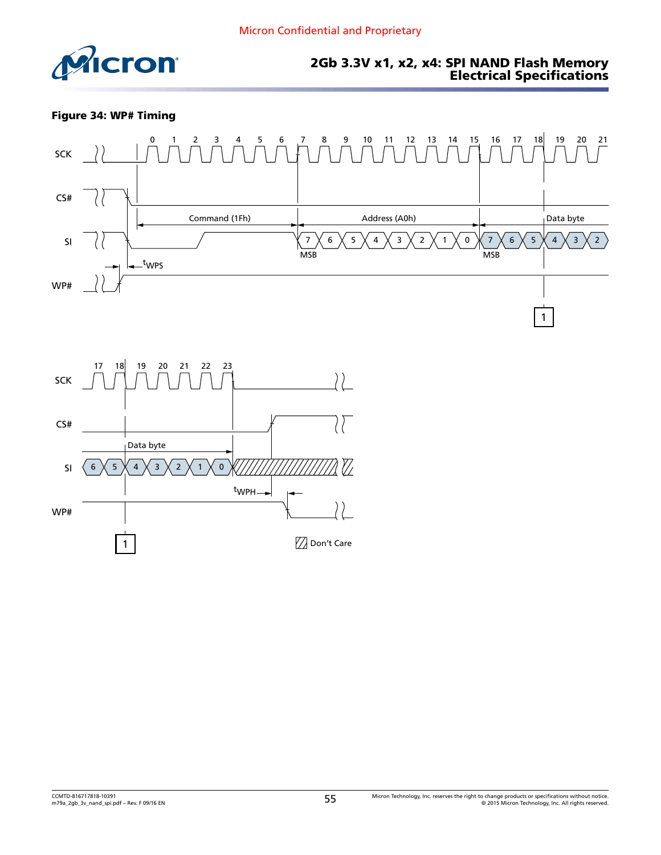<span id="page-54-0"></span>

Figure 34: WP# Timing



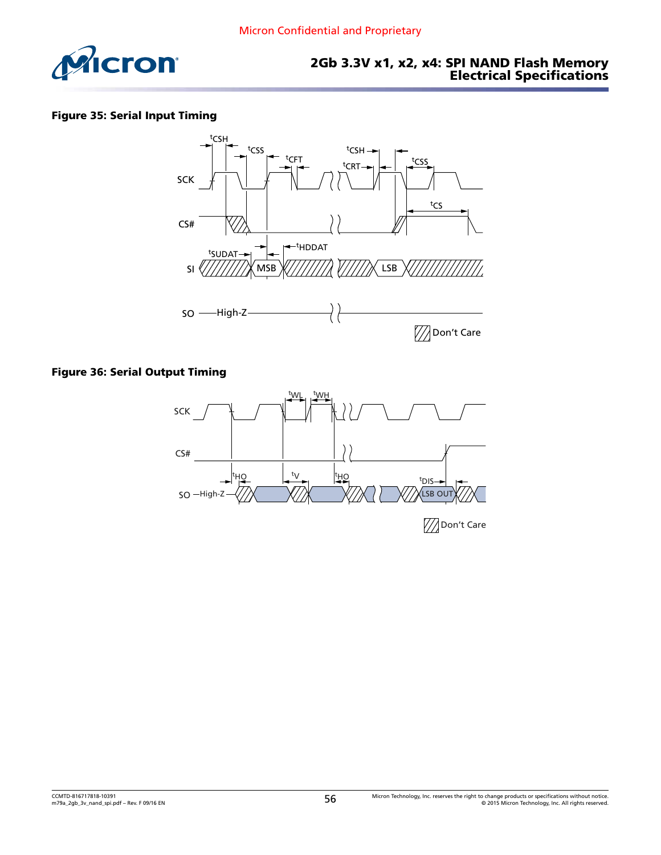<span id="page-55-0"></span>

#### Figure 35: Serial Input Timing



#### Figure 36: Serial Output Timing

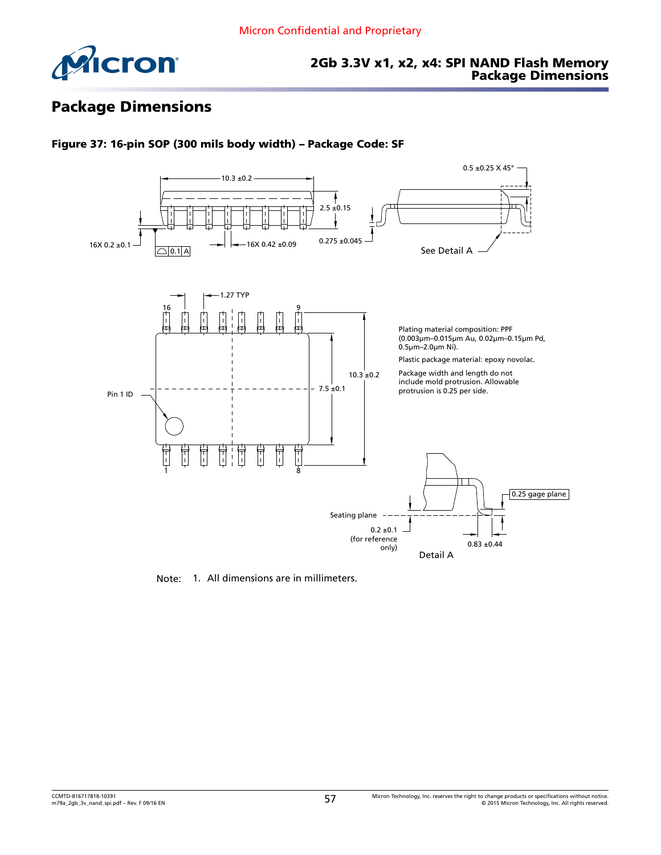<span id="page-56-0"></span>

### 2Gb 3.3V x1, x2, x4: SPI NAND Flash Memory Package Dimensions

# Package Dimensions



#### Figure 37: 16-pin SOP (300 mils body width) – Package Code: SF

Note: 1. All dimensions are in millimeters.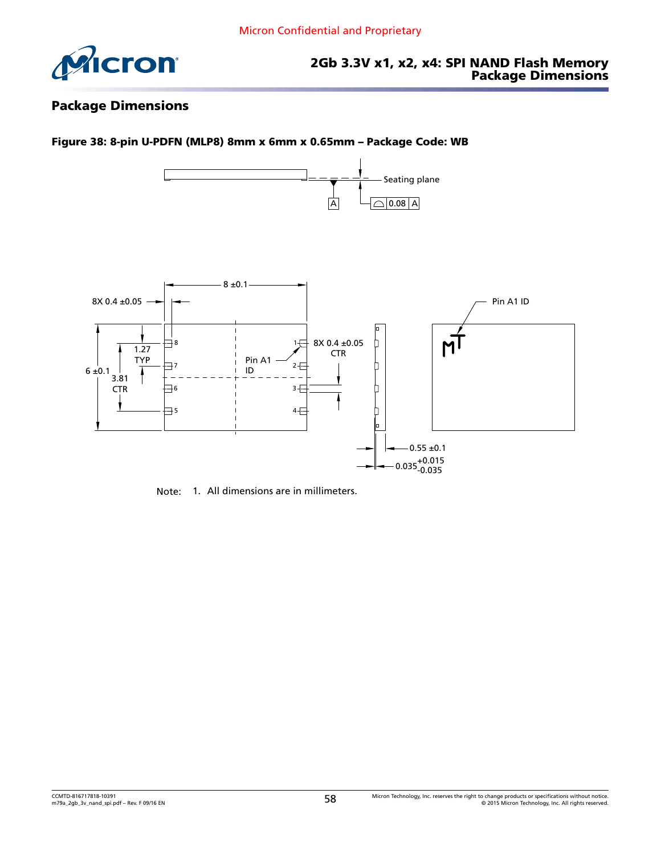<span id="page-57-0"></span>

### Package Dimensions



Note: 1. All dimensions are in millimeters.

Figure 38: 8-pin U-PDFN (MLP8) 8mm x 6mm x 0.65mm – Package Code: WB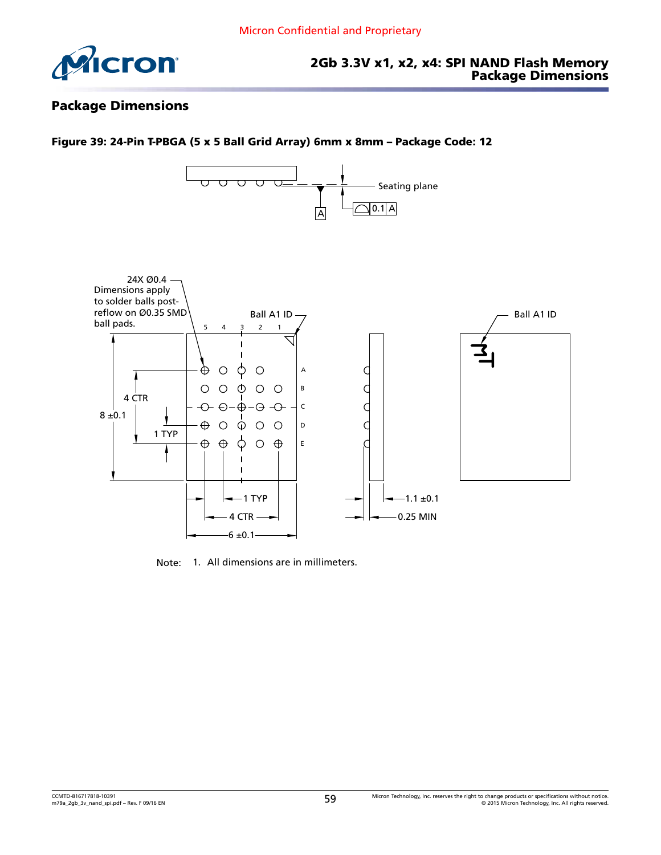<span id="page-58-0"></span>

### Package Dimensions

#### Figure 39: 24-Pin T-PBGA (5 x 5 Ball Grid Array) 6mm x 8mm – Package Code: 12



Note: 1. All dimensions are in millimeters.